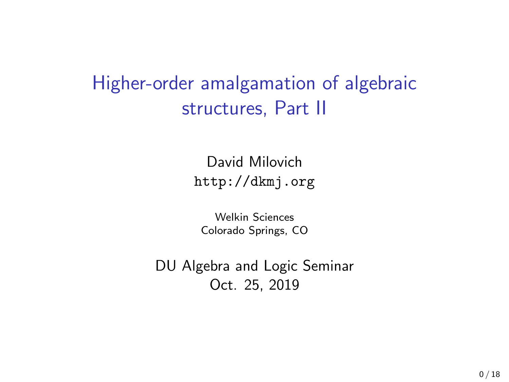# Higher-order amalgamation of algebraic structures, Part II

David Milovich <http://dkmj.org>

Welkin Sciences Colorado Springs, CO

DU Algebra and Logic Seminar Oct. 25, 2019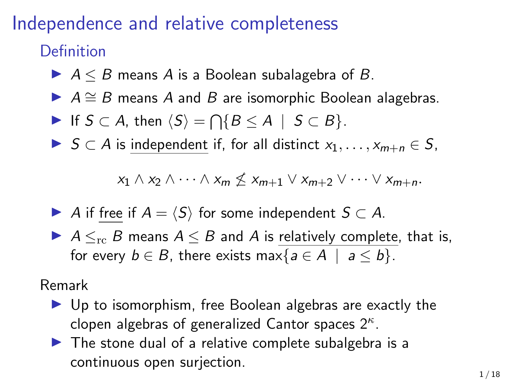## Independence and relative completeness

### Definition

- $\blacktriangleright$   $A \leq B$  means A is a Boolean subalagebra of B.
- $\triangleright$  A  $\cong$  B means A and B are isomorphic Boolean alagebras.
- If  $S \subset A$ , then  $\langle S \rangle = \bigcap \{B \le A \mid S \subset B\}.$
- ▶  $S \subset A$  is independent if, for all distinct  $x_1, \ldots, x_{m+n} \in S$ ,

$$
x_1 \wedge x_2 \wedge \cdots \wedge x_m \nleq x_{m+1} \vee x_{m+2} \vee \cdots \vee x_{m+n}.
$$

- A if free if  $A = \langle S \rangle$  for some independent  $S \subset A$ .
- $\blacktriangleright$  A  $\leq_{rc}$  B means A  $\leq$  B and A is relatively complete, that is, for every  $b \in B$ , there exists max $\{a \in A \mid a \leq b\}$ .

Remark

- $\blacktriangleright$  Up to isomorphism, free Boolean algebras are exactly the clopen algebras of generalized Cantor spaces  $2^{\kappa}$ .
- $\blacktriangleright$  The stone dual of a relative complete subalgebra is a continuous open surjection.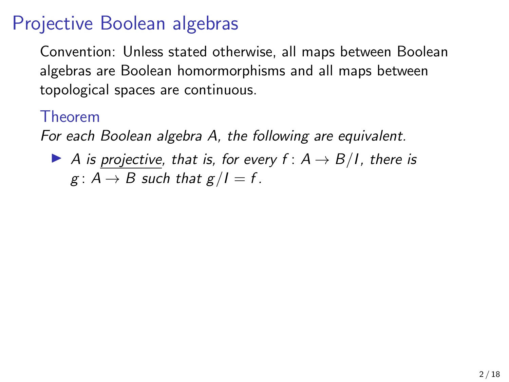Convention: Unless stated otherwise, all maps between Boolean algebras are Boolean homormorphisms and all maps between topological spaces are continuous.

#### Theorem

For each Boolean algebra A, the following are equivalent.

A is projective, that is, for every  $f: A \rightarrow B/I$ , there is  $g: A \rightarrow B$  such that  $g/I = f$ .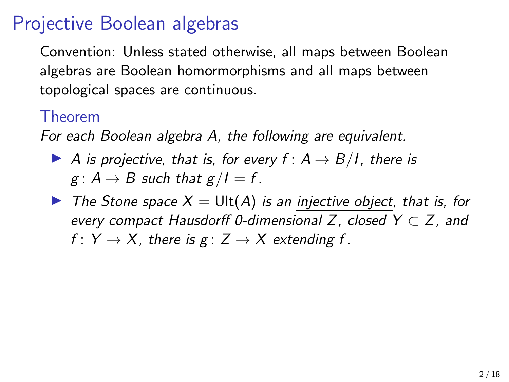Convention: Unless stated otherwise, all maps between Boolean algebras are Boolean homormorphisms and all maps between topological spaces are continuous.

#### Theorem

For each Boolean algebra A, the following are equivalent.

- A is projective, that is, for every  $f: A \rightarrow B/I$ , there is  $g: A \rightarrow B$  such that  $g/I = f$ .
- $\triangleright$  The Stone space  $X = \text{Ult}(A)$  is an injective object, that is, for every compact Hausdorff 0-dimensional Z, closed  $Y \subset Z$ , and f :  $Y \rightarrow X$ , there is g :  $Z \rightarrow X$  extending f.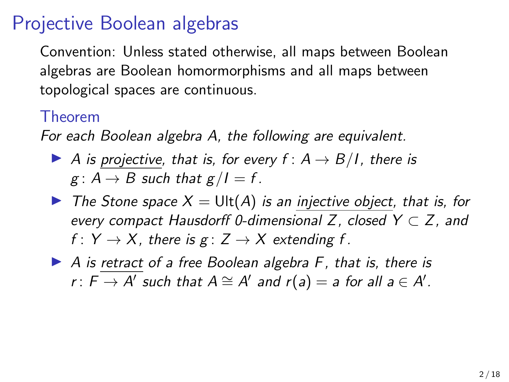Convention: Unless stated otherwise, all maps between Boolean algebras are Boolean homormorphisms and all maps between topological spaces are continuous.

#### Theorem

For each Boolean algebra A, the following are equivalent.

- A is projective, that is, for every  $f: A \rightarrow B/I$ , there is  $g: A \rightarrow B$  such that  $g/I = f$ .
- $\triangleright$  The Stone space  $X = \text{Ult}(A)$  is an injective object, that is, for every compact Hausdorff 0-dimensional Z, closed  $Y \subset Z$ , and f :  $Y \rightarrow X$ , there is g :  $Z \rightarrow X$  extending f.
- $\triangleright$  A is retract of a free Boolean algebra F, that is, there is r:  $F \overline{\rightarrow A'}$  such that  $A \cong A'$  and  $r(a) = a$  for all  $a \in A'.$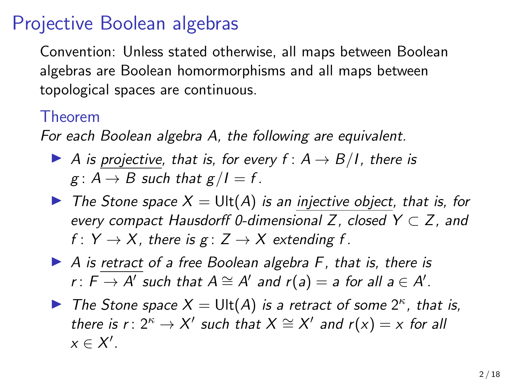Convention: Unless stated otherwise, all maps between Boolean algebras are Boolean homormorphisms and all maps between topological spaces are continuous.

#### Theorem

For each Boolean algebra A, the following are equivalent.

- A is projective, that is, for every  $f: A \rightarrow B/I$ , there is  $g: A \rightarrow B$  such that  $g/I = f$ .
- $\triangleright$  The Stone space  $X = \text{Ult}(A)$  is an injective object, that is, for every compact Hausdorff 0-dimensional Z, closed  $Y \subset Z$ , and f :  $Y \rightarrow X$ , there is  $g: Z \rightarrow X$  extending f.
- $\triangleright$  A is retract of a free Boolean algebra F, that is, there is r:  $F \overline{\rightarrow A'}$  such that  $A \cong A'$  and  $r(a) = a$  for all  $a \in A'.$
- The Stone space  $X = \text{Ult}(A)$  is a retract of some  $2^{\kappa}$ , that is, there is  $r: 2^{\kappa} \to X'$  such that  $X \cong X'$  and  $r(x) = x$  for all  $x \in X'$ .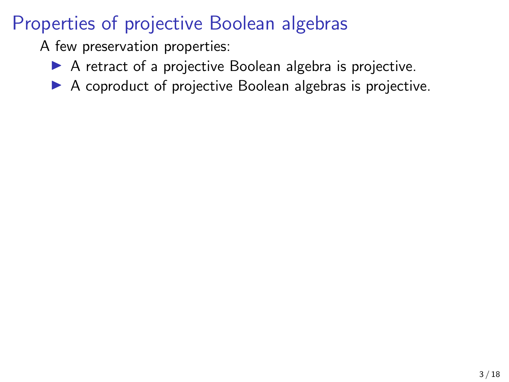A few preservation properties:

- $\triangleright$  A retract of a projective Boolean algebra is projective.
- $\triangleright$  A coproduct of projective Boolean algebras is projective.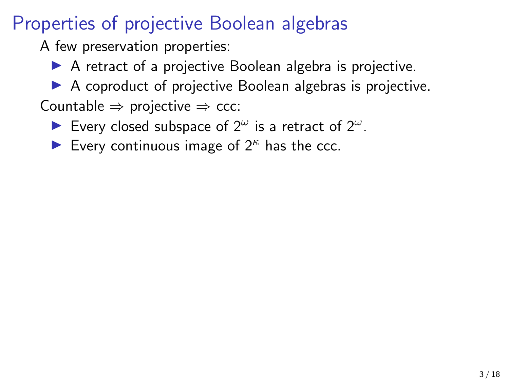A few preservation properties:

- $\blacktriangleright$  A retract of a projective Boolean algebra is projective.
- $\triangleright$  A coproduct of projective Boolean algebras is projective.
- Countable  $\Rightarrow$  projective  $\Rightarrow$  ccc:
	- Every closed subspace of  $2^{\omega}$  is a retract of  $2^{\omega}$ .
	- Every continuous image of  $2^k$  has the ccc.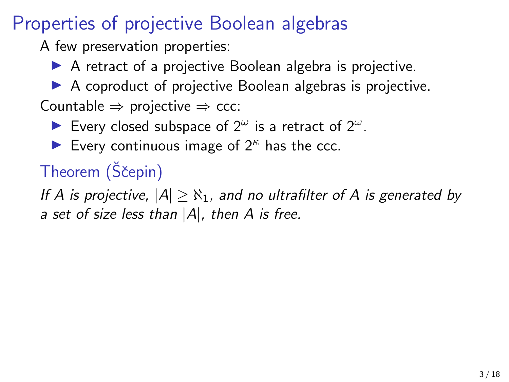A few preservation properties:

 $\blacktriangleright$  A retract of a projective Boolean algebra is projective.

 $\triangleright$  A coproduct of projective Boolean algebras is projective. Countable  $\Rightarrow$  projective  $\Rightarrow$  ccc:

Every closed subspace of  $2^{\omega}$  is a retract of  $2^{\omega}$ .

Every continuous image of  $2^k$  has the ccc.

# Theorem (Ščepin)

If A is projective,  $|A| > N_1$ , and no ultrafilter of A is generated by a set of size less than  $|A|$ , then A is free.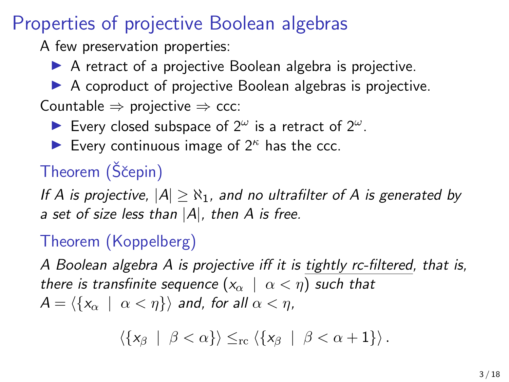A few preservation properties:

 $\triangleright$  A retract of a projective Boolean algebra is projective.

 $\triangleright$  A coproduct of projective Boolean algebras is projective. Countable  $\Rightarrow$  projective  $\Rightarrow$  ccc:

Every closed subspace of  $2^{\omega}$  is a retract of  $2^{\omega}$ .

Every continuous image of  $2^k$  has the ccc.

# Theorem (Ščepin)

If A is projective,  $|A| > N_1$ , and no ultrafilter of A is generated by a set of size less than  $|A|$ , then A is free.

### Theorem (Koppelberg)

A Boolean algebra A is projective iff it is tightly rc-filtered, that is, there is transfinite sequence  $(x_{\alpha} \mid \alpha < \eta)$  such that  $A = \langle \{x_\alpha \mid \alpha < \eta \} \rangle$  and, for all  $\alpha < \eta$ ,

$$
\left\langle \left\{ x_\beta \; \mid \; \beta < \alpha \right\} \right\rangle \leq_{\rm rc} \left\langle \left\{ x_\beta \; \mid \; \beta < \alpha + 1 \right\} \right\rangle.
$$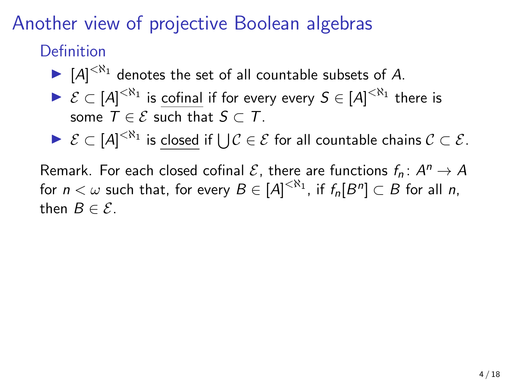# Another view of projective Boolean algebras

Definition

- $\blacktriangleright$   $[A]^{<\aleph_1}$  denotes the set of all countable subsets of A.
- $\blacktriangleright \mathcal{E} \subset [A]^{<\aleph_1}$  is cofinal if for every every  $S \in [A]^{<\aleph_1}$  there is some  $T \in \mathcal{E}$  such that  $S \subset T$ .
- ►  $\mathcal{E} \subset [A]^{<\aleph_1}$  is closed if  $\bigcup \mathcal{C} \in \mathcal{E}$  for all countable chains  $\mathcal{C} \subset \mathcal{E}.$

Remark. For each closed cofinal  ${\cal E}$ , there are functions  $f_n\colon A^n\to A$ for  $n<\omega$  such that, for every  $B\in [A]^{<\aleph_1}$ , if  $f_n[B^n]\subset B$  for all  $n,$ then  $B \in \mathcal{E}$ .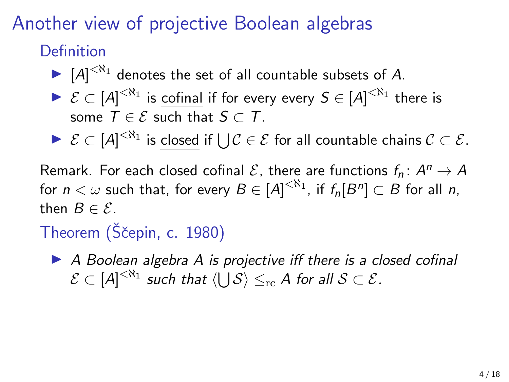# Another view of projective Boolean algebras

Definition

- $\blacktriangleright$   $[A]^{<\aleph_1}$  denotes the set of all countable subsets of A.
- $\blacktriangleright \mathcal{E} \subset [A]^{<\aleph_1}$  is cofinal if for every every  $S \in [A]^{<\aleph_1}$  there is some  $T \in \mathcal{E}$  such that  $S \subset T$ .
- ►  $\mathcal{E} \subset [A]^{<\aleph_1}$  is closed if  $\bigcup \mathcal{C} \in \mathcal{E}$  for all countable chains  $\mathcal{C} \subset \mathcal{E}.$

Remark. For each closed cofinal  ${\cal E}$ , there are functions  $f_n\colon A^n\to A$ for  $n<\omega$  such that, for every  $B\in [A]^{<\aleph_1}$ , if  $f_n[B^n]\subset B$  for all  $n,$ then  $B \in \mathcal{E}$ .

Theorem (Ščepin, c. 1980)

 $\triangleright$  A Boolean algebra A is projective iff there is a closed cofinal  $\mathcal{E} \subset [A]^{<\aleph_1}$  such that  $\langle \bigcup \mathcal{S} \rangle \leq_{\mathrm{rc}} A$  for all  $\mathcal{S} \subset \mathcal{E}.$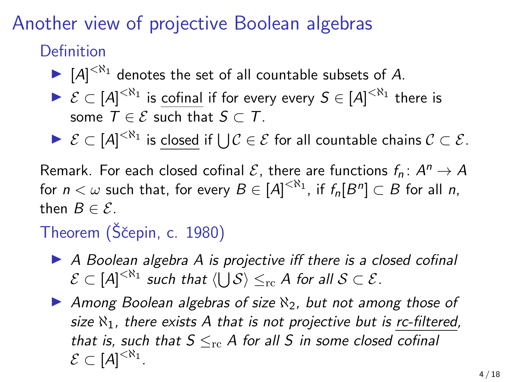# Another view of projective Boolean algebras

Definition

- $\blacktriangleright$   $[A]^{<\aleph_1}$  denotes the set of all countable subsets of A.
- $\blacktriangleright \mathcal{E} \subset [A]^{<\aleph_1}$  is cofinal if for every every  $S \in [A]^{<\aleph_1}$  there is some  $T \in \mathcal{E}$  such that  $S \subset T$ .
- ►  $\mathcal{E} \subset [A]^{<\aleph_1}$  is closed if  $\bigcup \mathcal{C} \in \mathcal{E}$  for all countable chains  $\mathcal{C} \subset \mathcal{E}.$

Remark. For each closed cofinal  ${\cal E}$ , there are functions  $f_n\colon A^n\to A$ for  $n<\omega$  such that, for every  $B\in [A]^{<\aleph_1}$ , if  $f_n[B^n]\subset B$  for all  $n,$ then  $B \in \mathcal{E}$ .

# Theorem (Ščepin, c. 1980)

- $\triangleright$  A Boolean algebra A is projective iff there is a closed cofinal  $\mathcal{E} \subset [A]^{<\aleph_1}$  such that  $\langle \bigcup \mathcal{S} \rangle \leq_{\mathrm{rc}} A$  for all  $\mathcal{S} \subset \mathcal{E}.$
- Among Boolean algebras of size  $\aleph_2$ , but not among those of size  $\aleph_1$ , there exists A that is not projective but is rc-filtered, that is, such that  $S \leq_{\text{rc}} A$  for all S in some closed cofinal  $\mathcal{E} \subset [A]^{<\aleph_1}$ .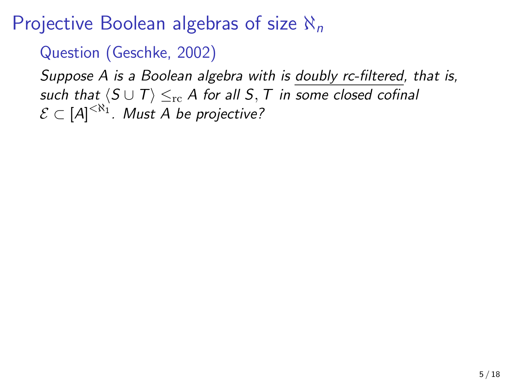Question (Geschke, 2002)

Suppose A is a Boolean algebra with is doubly rc-filtered, that is, such that  $\langle S \cup T \rangle \leq_{\text{rc}} A$  for all S, T in some closed cofinal  $\mathcal{E} \subset [A]^{<\aleph_1}$ . Must A be projective?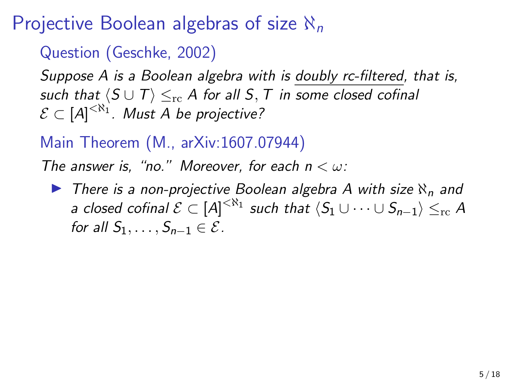Question (Geschke, 2002)

Suppose A is a Boolean algebra with is doubly rc-filtered, that is, such that  $\langle S \cup T \rangle \leq_{\text{rc}} A$  for all S, T in some closed cofinal  $\mathcal{E} \subset [A]^{<\aleph_1}$ . Must A be projective?

### Main Theorem (M., arXiv:1607.07944)

The answer is, "no." Moreover, for each  $n < \omega$ :

 $\triangleright$  There is a non-projective Boolean algebra A with size  $\aleph_n$  and a closed cofinal  $\mathcal{E}\subset [A]^{<\aleph_1}$  such that  $\langle S_1\cup\cdots\cup S_{n-1}\rangle\leq_{\mathrm{rc}} A$ for all  $S_1, \ldots, S_{n-1} \in \mathcal{E}$ .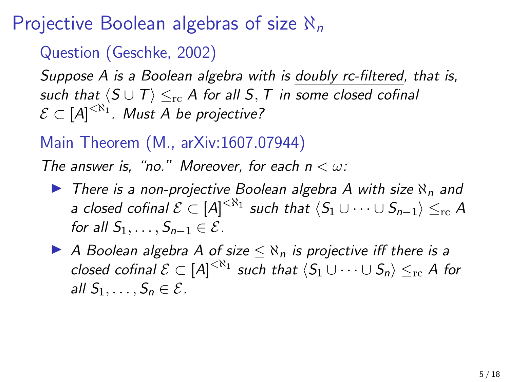Question (Geschke, 2002)

Suppose A is a Boolean algebra with is doubly rc-filtered, that is, such that  $\langle S \cup T \rangle \leq_{\text{rc}} A$  for all S, T in some closed cofinal  $\mathcal{E} \subset [A]^{<\aleph_1}$ . Must A be projective?

### Main Theorem (M., arXiv:1607.07944)

The answer is, "no." Moreover, for each  $n < \omega$ :

- $\triangleright$  There is a non-projective Boolean algebra A with size  $\aleph_n$  and a closed cofinal  $\mathcal{E}\subset [A]^{<\aleph_1}$  such that  $\langle S_1\cup\cdots\cup S_{n-1}\rangle\leq_{\mathrm{rc}} A$ for all  $S_1, \ldots, S_{n-1} \in \mathcal{E}$ .
- A Boolean algebra A of size  $\leq \aleph_n$  is projective iff there is a closed cofinal  $\mathcal{E}\subset [A]^{<\aleph_1}$  such that  $\langle S_1\cup\cdots\cup S_n\rangle\leq_{\operatorname{rc}} A$  for all  $S_1, \ldots, S_n \in \mathcal{E}$ .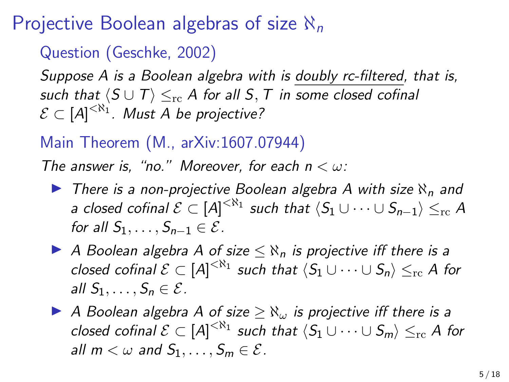Question (Geschke, 2002)

Suppose A is a Boolean algebra with is doubly rc-filtered, that is, such that  $\langle S \cup T \rangle \leq_{\text{rc}} A$  for all S, T in some closed cofinal  $\mathcal{E} \subset [A]^{<\aleph_1}$ . Must A be projective?

### Main Theorem (M., arXiv:1607.07944)

The answer is, "no." Moreover, for each  $n < \omega$ :

- $\triangleright$  There is a non-projective Boolean algebra A with size  $\aleph_n$  and a closed cofinal  $\mathcal{E}\subset [A]^{<\aleph_1}$  such that  $\langle S_1\cup\cdots\cup S_{n-1}\rangle\leq_{\mathrm{rc}} A$ for all  $S_1, \ldots, S_{n-1} \in \mathcal{E}$ .
- A Boolean algebra A of size  $\leq \aleph_n$  is projective iff there is a closed cofinal  $\mathcal{E}\subset [A]^{<\aleph_1}$  such that  $\langle S_1\cup\cdots\cup S_n\rangle\leq_{\operatorname{rc}} A$  for all  $S_1, \ldots, S_n \in \mathcal{E}$ .
- A Boolean algebra A of size  $>$   $\aleph_{\omega}$  is projective iff there is a closed cofinal  $\mathcal{E}\subset [A]^{<\aleph_1}$  such that  $\langle S_1\cup\cdots\cup S_m\rangle\leq_{\operatorname{rc}} A$  for all  $m < \omega$  and  $S_1, \ldots, S_m \in \mathcal{E}$ .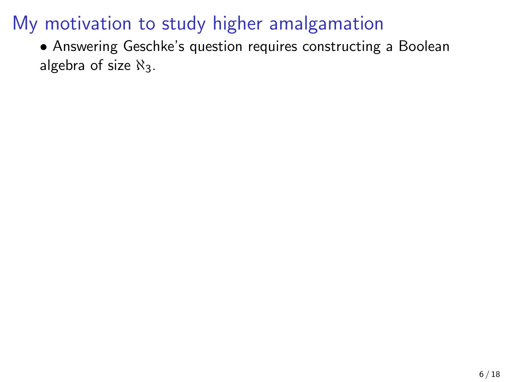• Answering Geschke's question requires constructing a Boolean algebra of size  $\aleph_3$ .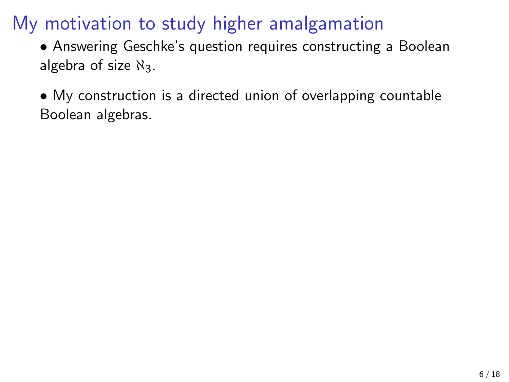• Answering Geschke's question requires constructing a Boolean algebra of size  $\aleph_3$ .

• My construction is a directed union of overlapping countable Boolean algebras.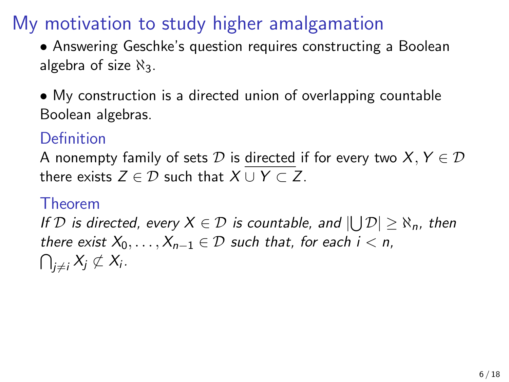• Answering Geschke's question requires constructing a Boolean algebra of size  $\aleph_3$ .

• My construction is a directed union of overlapping countable Boolean algebras.

### Definition

A nonempty family of sets  $D$  is directed if for every two  $X, Y \in D$ there exists  $Z \in \mathcal{D}$  such that  $X \cup Y \subset Z$ .

#### Theorem

If  $\mathcal D$  is directed, every  $X\in \mathcal D$  is countable, and  $|\bigcup \mathcal D|\geq \aleph_n$ , then there exist  $X_0, \ldots, X_{n-1} \in \mathcal{D}$  such that, for each  $i < n$ ,  $\bigcap_{j\neq i}X_j\not\subset X_i$  .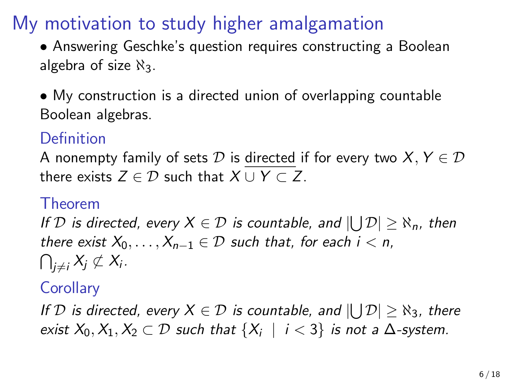• Answering Geschke's question requires constructing a Boolean algebra of size  $\aleph_3$ .

• My construction is a directed union of overlapping countable Boolean algebras.

### Definition

A nonempty family of sets  $D$  is directed if for every two  $X, Y \in D$ there exists  $Z \in \mathcal{D}$  such that  $X \cup Y \subset Z$ .

#### Theorem

If  $\mathcal D$  is directed, every  $X\in \mathcal D$  is countable, and  $|\bigcup \mathcal D|\geq \aleph_n$ , then there exist  $X_0, \ldots, X_{n-1} \in \mathcal{D}$  such that, for each  $i < n$ ,  $\bigcap_{j\neq i}X_j\not\subset X_i$  .

### **Corollary**

If  $D$  is directed, every  $X \in D$  is countable, and  $|\bigcup \mathcal{D}| \geq \aleph_3$ , there exist  $X_0, X_1, X_2 \subset \mathcal{D}$  such that  $\{X_i \mid i < 3\}$  is not a  $\Delta$ -system.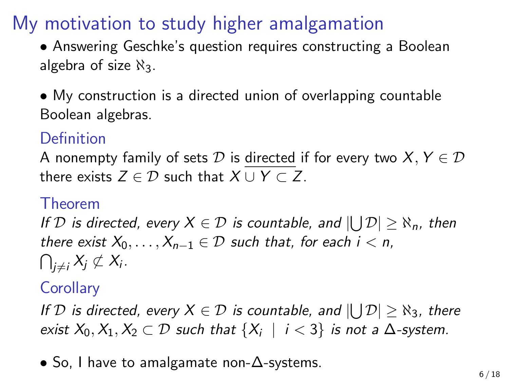• Answering Geschke's question requires constructing a Boolean algebra of size  $\aleph_3$ .

• My construction is a directed union of overlapping countable Boolean algebras.

### Definition

A nonempty family of sets  $D$  is directed if for every two  $X, Y \in D$ there exists  $Z \in \mathcal{D}$  such that  $X \cup Y \subset Z$ .

#### Theorem

If  $\mathcal D$  is directed, every  $X\in \mathcal D$  is countable, and  $|\bigcup \mathcal D|\geq \aleph_n$ , then there exist  $X_0, \ldots, X_{n-1} \in \mathcal{D}$  such that, for each  $i < n$ ,  $\bigcap_{j\neq i}X_j\not\subset X_i$  .

### **Corollary**

If  $D$  is directed, every  $X \in D$  is countable, and  $|\bigcup \mathcal{D}| \geq \aleph_3$ , there exist  $X_0, X_1, X_2 \subset \mathcal{D}$  such that  $\{X_i \mid i < 3\}$  is not a  $\Delta$ -system.

• So, I have to amalgamate non-∆-systems.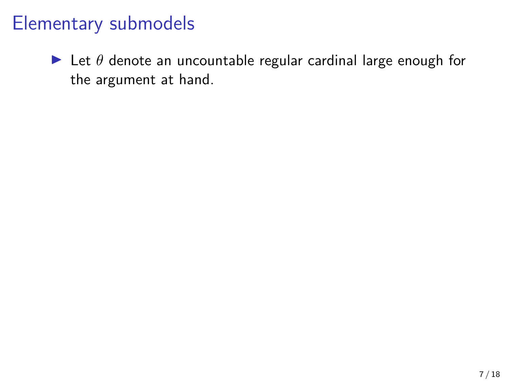$\triangleright$  Let  $\theta$  denote an uncountable regular cardinal large enough for the argument at hand.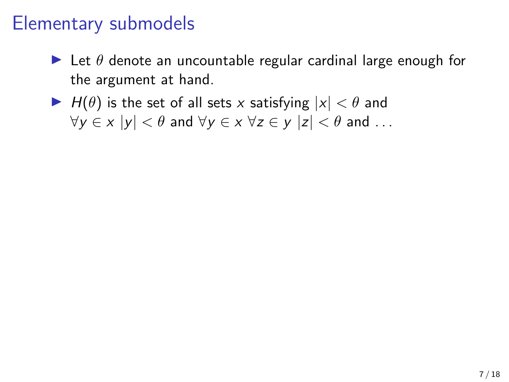- $\blacktriangleright$  Let  $\theta$  denote an uncountable regular cardinal large enough for the argument at hand.
- $\blacktriangleright$   $H(\theta)$  is the set of all sets x satisfying  $|x| < \theta$  and  $\forall y \in x \ |y| < \theta$  and  $\forall y \in x \ \forall z \in y \ |z| < \theta$  and ...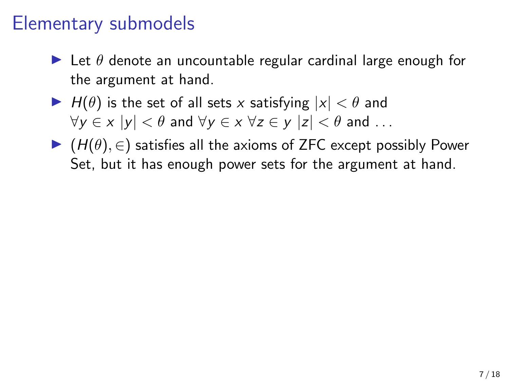- $\blacktriangleright$  Let  $\theta$  denote an uncountable regular cardinal large enough for the argument at hand.
- $\blacktriangleright$  H( $\theta$ ) is the set of all sets x satisfying  $|x| < \theta$  and  $\forall v \in x \ |v| < \theta$  and  $\forall v \in x \ \forall z \in v \ |z| < \theta$  and ...
- $\blacktriangleright$  ( $H(\theta), \in$ ) satisfies all the axioms of ZFC except possibly Power Set, but it has enough power sets for the argument at hand.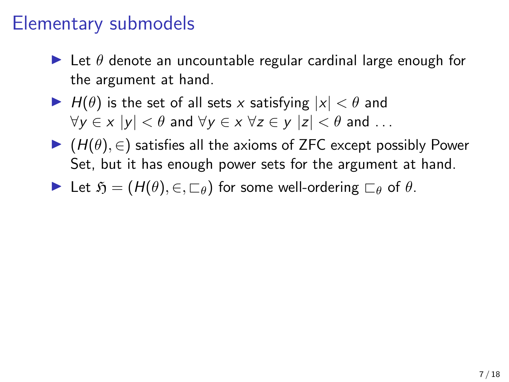- $\blacktriangleright$  Let  $\theta$  denote an uncountable regular cardinal large enough for the argument at hand.
- $\blacktriangleright$  H( $\theta$ ) is the set of all sets x satisfying  $|x| < \theta$  and  $\forall v \in x \ |v| < \theta$  and  $\forall v \in x \ \forall z \in v \ |z| < \theta$  and ...
- $\blacktriangleright$  ( $H(\theta), \in$ ) satisfies all the axioms of ZFC except possibly Power Set, but it has enough power sets for the argument at hand.
- $\blacktriangleright$  Let  $\mathfrak{H} = (H(\theta), \in, \sqsubset_{\theta})$  for some well-ordering  $\sqsubset_{\theta}$  of  $\theta$ .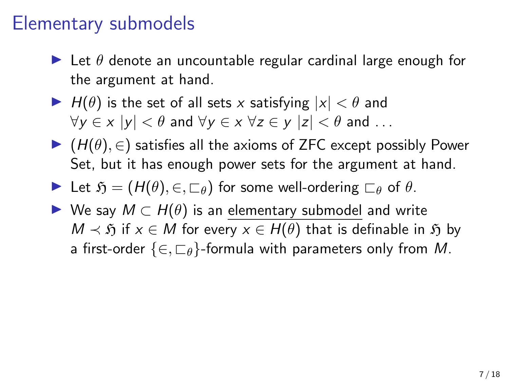- $\blacktriangleright$  Let  $\theta$  denote an uncountable regular cardinal large enough for the argument at hand.
- $\blacktriangleright$  H( $\theta$ ) is the set of all sets x satisfying  $|x| < \theta$  and  $\forall v \in x \ |v| < \theta$  and  $\forall v \in x \ \forall z \in v \ |z| < \theta$  and ...
- $\blacktriangleright$  ( $H(\theta), \in$ ) satisfies all the axioms of ZFC except possibly Power Set, but it has enough power sets for the argument at hand.
- $\blacktriangleright$  Let  $\mathfrak{H} = (H(\theta), \in, \sqsubset_{\theta})$  for some well-ordering  $\sqsubset_{\theta}$  of  $\theta$ .
- $\triangleright$  We say  $M \subset H(\theta)$  is an elementary submodel and write  $M \prec \mathfrak{H}$  if  $x \in M$  for every  $x \in H(\theta)$  that is definable in  $\mathfrak{H}$  by a first-order  $\{\in, \sqsubset_{\theta}\}$ -formula with parameters only from M.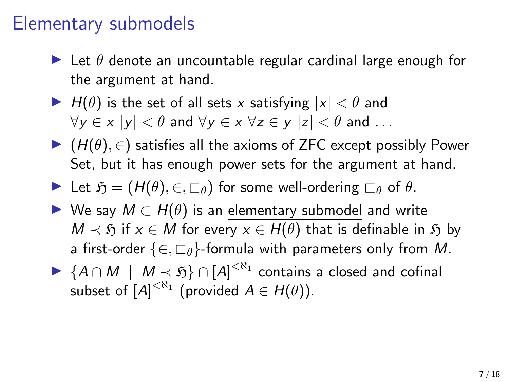- $\blacktriangleright$  Let  $\theta$  denote an uncountable regular cardinal large enough for the argument at hand.
- $\blacktriangleright$  H( $\theta$ ) is the set of all sets x satisfying  $|x| < \theta$  and  $\forall v \in x \ |v| < \theta$  and  $\forall v \in x \ \forall z \in v \ |z| < \theta$  and ...
- $\blacktriangleright$  ( $H(\theta)$ ,  $\in$ ) satisfies all the axioms of ZFC except possibly Power Set, but it has enough power sets for the argument at hand.
- $\blacktriangleright$  Let  $\mathfrak{H} = (H(\theta), \in, \sqsubset_{\theta})$  for some well-ordering  $\sqsubset_{\theta}$  of  $\theta$ .
- $\triangleright$  We say  $M \subset H(\theta)$  is an elementary submodel and write  $M \prec \mathfrak{H}$  if  $x \in M$  for every  $x \in H(\theta)$  that is definable in  $\mathfrak{H}$  by a first-order  $\{\in, \sqsubset_{\theta}\}$ -formula with parameters only from M.
- ►  ${A \cap M \mid M \prec \mathfrak{H}}$   $\cap$   $[A]^{< N_1}$  contains a closed and cofinal subset of  $[A]^{< \aleph_1}$  (provided  $A \in H(\theta)$ ).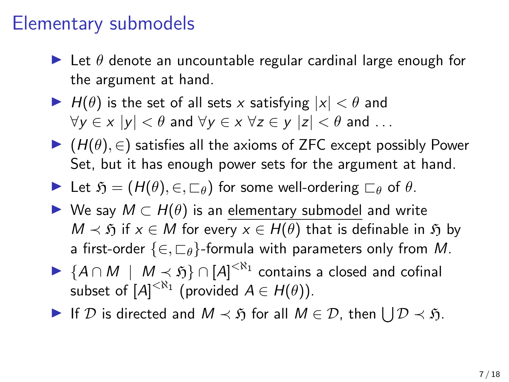- $\blacktriangleright$  Let  $\theta$  denote an uncountable regular cardinal large enough for the argument at hand.
- $\blacktriangleright$  H( $\theta$ ) is the set of all sets x satisfying  $|x| < \theta$  and  $\forall v \in x \ |v| < \theta$  and  $\forall v \in x \ \forall z \in v \ |z| < \theta$  and ...
- $\blacktriangleright$  ( $H(\theta)$ ,  $\in$ ) satisfies all the axioms of ZFC except possibly Power Set, but it has enough power sets for the argument at hand.
- $\blacktriangleright$  Let  $\mathfrak{H} = (H(\theta), \in, \sqsubset_{\theta})$  for some well-ordering  $\sqsubset_{\theta}$  of  $\theta$ .
- $\triangleright$  We say  $M \subset H(\theta)$  is an elementary submodel and write  $M \prec \mathfrak{H}$  if  $x \in M$  for every  $x \in H(\theta)$  that is definable in  $\mathfrak{H}$  by a first-order  $\{\in, \sqsubset_{\theta}\}$ -formula with parameters only from M.
- ►  ${A \cap M \mid M \prec \mathfrak{H}}$   $\cap$   $[A]^{< N_1}$  contains a closed and cofinal subset of  $[A]^{< \aleph_1}$  (provided  $A \in H(\theta)$ ).
- If D is directed and  $M \prec \mathfrak{H}$  for all  $M \in \mathcal{D}$ , then  $\bigcup \mathcal{D} \prec \mathfrak{H}$ .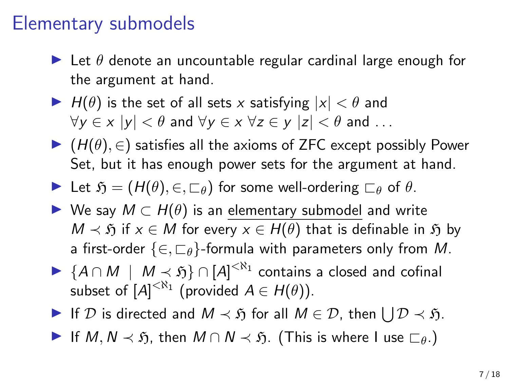- $\blacktriangleright$  Let  $\theta$  denote an uncountable regular cardinal large enough for the argument at hand.
- $\blacktriangleright$  H( $\theta$ ) is the set of all sets x satisfying  $|x| < \theta$  and  $\forall v \in x \ |v| < \theta$  and  $\forall v \in x \ \forall z \in v \ |z| < \theta$  and ...
- $\blacktriangleright$  ( $H(\theta), \in$ ) satisfies all the axioms of ZFC except possibly Power Set, but it has enough power sets for the argument at hand.
- $\blacktriangleright$  Let  $\mathfrak{H} = (H(\theta), \in, \sqsubset_{\theta})$  for some well-ordering  $\sqsubset_{\theta}$  of  $\theta$ .
- $\triangleright$  We say  $M \subset H(\theta)$  is an elementary submodel and write  $M \prec \tilde{p}$  if  $x \in M$  for every  $x \in H(\theta)$  that is definable in  $\tilde{p}$  by a first-order  $\{\in, \sqsubset_{\theta}\}$ -formula with parameters only from M.
- ►  ${A \cap M \mid M \prec \mathfrak{H}}$   $\cap$   $[A]^{< N_1}$  contains a closed and cofinal subset of  $[A]^{< \aleph_1}$  (provided  $A \in H(\theta)$ ).
- If D is directed and  $M \prec \mathfrak{H}$  for all  $M \in \mathcal{D}$ , then  $\bigcup \mathcal{D} \prec \mathfrak{H}$ .
- **If**  $M, N \prec \tilde{p}$ , then  $M \cap N \prec \tilde{p}$ . (This is where I use  $\sqsubset_{\theta}$ .)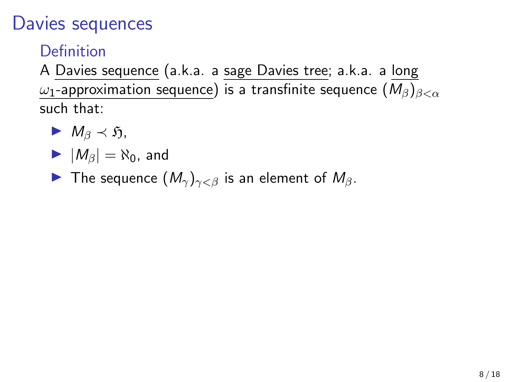Definition

A Davies sequence (a.k.a. a sage Davies tree; a.k.a. a long  $ω_1$ -approximation sequence) is a transfinite sequence  $(M_\beta)_{\beta<\alpha}$ such that:

- $M_{\beta} \prec \mathfrak{H},$
- $|M_\beta| = \aleph_0$ , and
- **IF** The sequence  $(M_{\gamma})_{\gamma<\beta}$  is an element of  $M_{\beta}$ .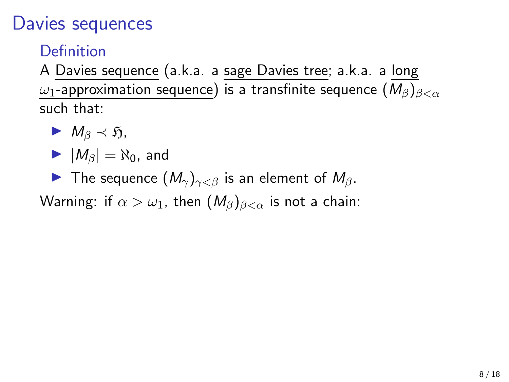Definition

A Davies sequence (a.k.a. a sage Davies tree; a.k.a. a long  $ω_1$ -approximation sequence) is a transfinite sequence  $(M_\beta)_{\beta<\alpha}$ such that:

- $M_{\beta} \prec \mathfrak{H}$ ,
- $|M_\beta| = \aleph_0$ , and
- **IF** The sequence  $(M_{\gamma})_{\gamma<\beta}$  is an element of  $M_{\beta}$ .

Warning: if  $\alpha > \omega_1$ , then  $(M_\beta)_{\beta < \alpha}$  is not a chain: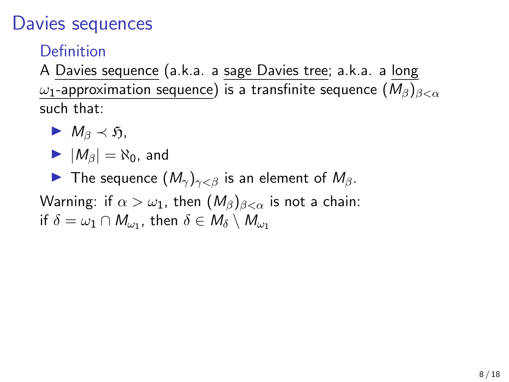Definition

A Davies sequence (a.k.a. a sage Davies tree; a.k.a. a long  $\omega_1$ -approximation sequence) is a transfinite sequence  $(M_\beta)_{\beta<\alpha}$ such that:

- $M_{\beta} \prec \mathfrak{H}$ ,
- $|M_\beta| = \aleph_0$ , and

**IF** The sequence  $(M_{\gamma})_{\gamma<\beta}$  is an element of  $M_{\beta}$ .

Warning: if  $\alpha > \omega_1$ , then  $(M_\beta)_{\beta < \alpha}$  is not a chain: if  $\delta=\omega_1\cap M_{\omega_1}$ , then  $\delta\in M_{\delta}\setminus M_{\omega_1}$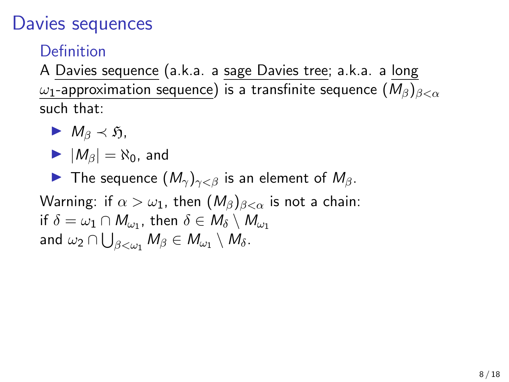Definition

A Davies sequence (a.k.a. a sage Davies tree; a.k.a. a long  $ω_1$ -approximation sequence) is a transfinite sequence  $(M_\beta)_{\beta<\alpha}$ such that:

$$
\blacktriangleright M_\beta \prec \mathfrak{H},
$$

$$
\blacktriangleright |M_{\beta}| = \aleph_0, \text{ and}
$$

**IF** The sequence  $(M_{\gamma})_{\gamma<\beta}$  is an element of  $M_{\beta}$ .

Warning: if  $\alpha > \omega_1$ , then  $(M_\beta)_{\beta < \alpha}$  is not a chain: if  $\delta=\omega_1\cap M_{\omega_1}$ , then  $\delta\in M_{\delta}\setminus M_{\omega_1}$ and  $\omega_2\cap\bigcup_{\beta<\omega_1}M_\beta\in M_{\omega_1}\setminus M_\delta.$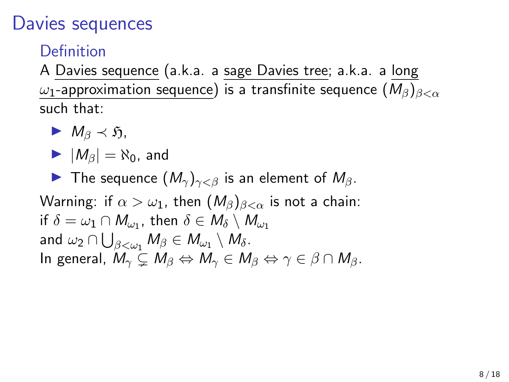Definition

A Davies sequence (a.k.a. a sage Davies tree; a.k.a. a long  $\omega_1$ -approximation sequence) is a transfinite sequence  $(M_\beta)_{\beta<\alpha}$ such that:

$$
\blacktriangleright M_\beta \prec \mathfrak{H},
$$

$$
\blacktriangleright |M_{\beta}| = \aleph_0, \text{ and}
$$

**IF** The sequence  $(M_{\gamma})_{\gamma<\beta}$  is an element of  $M_{\beta}$ .

Warning: if  $\alpha > \omega_1$ , then  $(M_\beta)_{\beta < \alpha}$  is not a chain: if  $\delta=\omega_1\cap M_{\omega_1}$ , then  $\delta\in M_{\delta}\setminus M_{\omega_1}$ and  $\omega_2 \cap \bigcup_{\beta<\omega_1} M_\beta \in M_{\omega_1} \setminus M_\delta.$ In general,  $M_{\gamma} \subset M_{\beta} \Leftrightarrow M_{\gamma} \in M_{\beta} \Leftrightarrow \gamma \in \beta \cap M_{\beta}$ .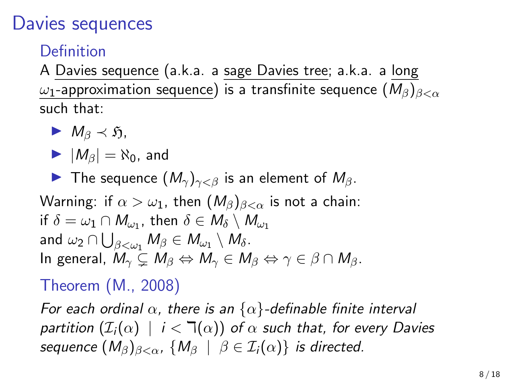**Definition** 

A Davies sequence (a.k.a. a sage Davies tree; a.k.a. a long  $ω_1$ -approximation sequence) is a transfinite sequence  $(M_\beta)_{\beta<\alpha}$ such that:

$$
\blacktriangleright M_\beta \prec \mathfrak{H},
$$

$$
\blacktriangleright |M_{\beta}| = \aleph_0, \text{ and}
$$

**IF** The sequence  $(M_{\gamma})_{\gamma<\beta}$  is an element of  $M_{\beta}$ .

Warning: if  $\alpha > \omega_1$ , then  $(M_\beta)_{\beta < \alpha}$  is not a chain: if  $\delta=\omega_1\cap M_{\omega_1}$ , then  $\delta\in M_{\delta}\setminus M_{\omega_1}$ and  $\omega_2 \cap \bigcup_{\beta<\omega_1} M_\beta \in M_{\omega_1} \setminus M_\delta.$ In general,  $M_{\gamma} \subset M_{\beta} \Leftrightarrow M_{\gamma} \in M_{\beta} \Leftrightarrow \gamma \in \beta \cap M_{\beta}$ .

### Theorem (M., 2008)

For each ordinal  $\alpha$ , there is an  $\{\alpha\}$ -definable finite interval partition  $(\mathcal{I}_i(\alpha) \mid i < \mathcal{I}(\alpha))$  of  $\alpha$  such that, for every Davies sequence  $(M_\beta)_{\beta<\alpha}$ ,  $\{M_\beta \mid \beta \in \mathcal{I}_i(\alpha)\}\$ is directed.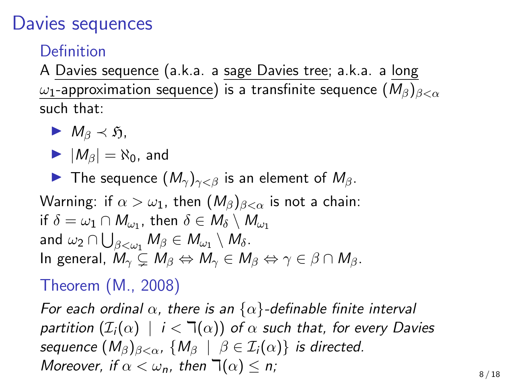### Davies sequences

Definition

A Davies sequence (a.k.a. a sage Davies tree; a.k.a. a long  $\omega_1$ -approximation sequence) is a transfinite sequence  $(M_\beta)_{\beta<\alpha}$ such that:

$$
\blacktriangleright M_\beta \prec \mathfrak{H},
$$

$$
\blacktriangleright |M_{\beta}| = \aleph_0, \text{ and}
$$

**IF** The sequence  $(M_{\gamma})_{\gamma<\beta}$  is an element of  $M_{\beta}$ .

Warning: if  $\alpha > \omega_1$ , then  $(M_\beta)_{\beta < \alpha}$  is not a chain: if  $\delta=\omega_1\cap M_{\omega_1}$ , then  $\delta\in M_{\delta}\setminus M_{\omega_1}$ and  $\omega_2 \cap \bigcup_{\beta<\omega_1} M_\beta \in M_{\omega_1} \setminus M_\delta.$ In general,  $M_{\gamma} \subset M_{\beta} \Leftrightarrow M_{\gamma} \in M_{\beta} \Leftrightarrow \gamma \in \beta \cap M_{\beta}$ .

#### Theorem (M., 2008)

For each ordinal  $\alpha$ , there is an  $\{\alpha\}$ -definable finite interval partition  $(\mathcal{I}_i(\alpha) \mid i < \mathcal{I}(\alpha))$  of  $\alpha$  such that, for every Davies sequence  $(M_\beta)_{\beta<\alpha}$ ,  $\{M_\beta \mid \beta \in \mathcal{I}_i(\alpha)\}\$ is directed. Moreover, if  $\alpha < \omega_n$ , then  $\mathbb{I}(\alpha) \leq n$ ;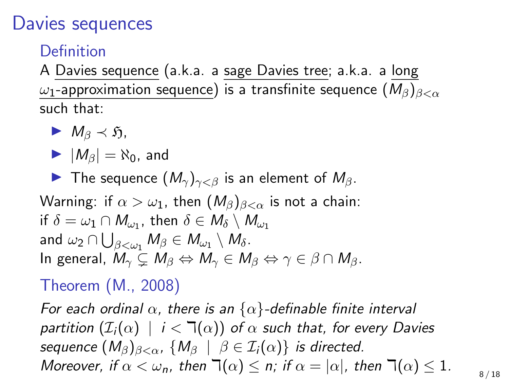### Davies sequences

Definition

A Davies sequence (a.k.a. a sage Davies tree; a.k.a. a long  $\omega_1$ -approximation sequence) is a transfinite sequence  $(M_\beta)_{\beta<\alpha}$ such that:

$$
\blacktriangleright M_\beta \prec \mathfrak{H},
$$

$$
\blacktriangleright |M_{\beta}| = \aleph_0, \text{ and}
$$

**IF** The sequence  $(M_{\gamma})_{\gamma<\beta}$  is an element of  $M_{\beta}$ .

Warning: if  $\alpha > \omega_1$ , then  $(M_\beta)_{\beta < \alpha}$  is not a chain: if  $\delta=\omega_1\cap M_{\omega_1}$ , then  $\delta\in M_{\delta}\setminus M_{\omega_1}$ and  $\omega_2 \cap \bigcup_{\beta<\omega_1} M_\beta \in M_{\omega_1} \setminus M_\delta.$ In general,  $M_{\gamma} \subset M_{\beta} \Leftrightarrow M_{\gamma} \in M_{\beta} \Leftrightarrow \gamma \in \beta \cap M_{\beta}$ .

#### Theorem (M., 2008)

For each ordinal  $\alpha$ , there is an  $\{\alpha\}$ -definable finite interval partition  $(\mathcal{I}_i(\alpha) \mid i < \mathcal{I}(\alpha))$  of  $\alpha$  such that, for every Davies sequence  $(M_\beta)_{\beta<\alpha}$ ,  $\{M_\beta \mid \beta \in \mathcal{I}_i(\alpha)\}\$ is directed. Moreover, if  $\alpha < \omega_n$ , then  $\exists (\alpha) \leq n$ ; if  $\alpha = |\alpha|$ , then  $\exists (\alpha) \leq 1$ .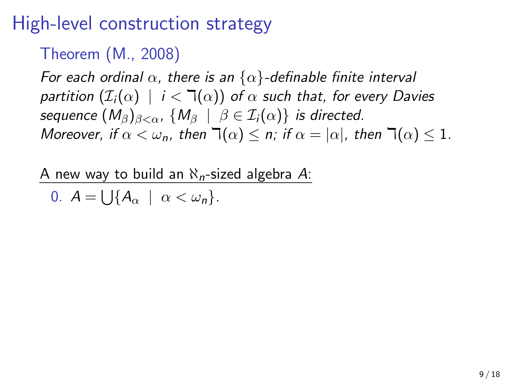#### Theorem (M., 2008)

For each ordinal  $\alpha$ , there is an  $\{\alpha\}$ -definable finite interval partition  $(\mathcal{I}_i(\alpha) \mid i < \mathcal{I}(\alpha))$  of  $\alpha$  such that, for every Davies sequence  $(M_\beta)_{\beta<\alpha}$ ,  $\{M_\beta \mid \beta \in \mathcal{I}_i(\alpha)\}\$ is directed. Moreover, if  $\alpha < \omega_n$ , then  $\exists (\alpha) \leq n$ ; if  $\alpha = |\alpha|$ , then  $\exists (\alpha) \leq 1$ .

A new way to build an  $\aleph_n$ -sized algebra A:

$$
0. \ \ A = \bigcup \{ A_{\alpha} \ \mid \ \alpha < \omega_n \}.
$$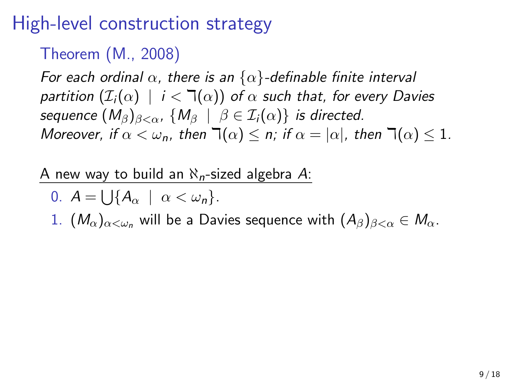#### Theorem (M., 2008)

For each ordinal  $\alpha$ , there is an  $\{\alpha\}$ -definable finite interval partition  $(\mathcal{I}_i(\alpha) \mid i < \mathcal{I}(\alpha))$  of  $\alpha$  such that, for every Davies sequence  $(M_\beta)_{\beta<\alpha}$ ,  $\{M_\beta \mid \beta \in \mathcal{I}_i(\alpha)\}\$ is directed. Moreover, if  $\alpha < \omega_n$ , then  $\exists (\alpha) \leq n$ ; if  $\alpha = |\alpha|$ , then  $\exists (\alpha) \leq 1$ .

A new way to build an  $\aleph_n$ -sized algebra A:

$$
0. \ \ A=\bigcup\{A_{\alpha}\ \mid\ \alpha<\omega_n\}.
$$

1.  $(M_{\alpha})_{\alpha<\omega_n}$  will be a Davies sequence with  $(A_{\beta})_{\beta<\alpha}\in M_{\alpha}$ .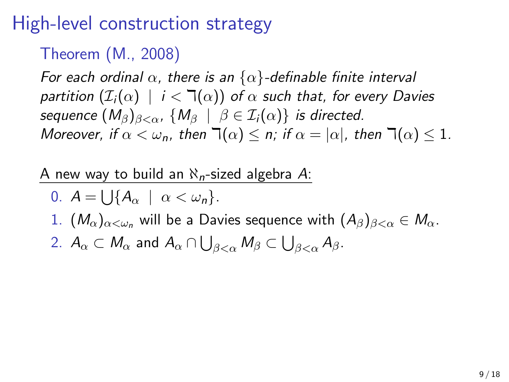#### Theorem (M., 2008)

For each ordinal  $\alpha$ , there is an  $\{\alpha\}$ -definable finite interval partition  $(\mathcal{I}_i(\alpha) \mid i < \mathcal{I}(\alpha))$  of  $\alpha$  such that, for every Davies sequence  $(M_\beta)_{\beta<\alpha}$ ,  $\{M_\beta \mid \beta \in \mathcal{I}_i(\alpha)\}\$ is directed. Moreover, if  $\alpha < \omega_n$ , then  $\exists (\alpha) \leq n$ ; if  $\alpha = |\alpha|$ , then  $\exists (\alpha) \leq 1$ .

A new way to build an  $\aleph_n$ -sized algebra A:

\n- 0. 
$$
A = \bigcup \{ A_{\alpha} \mid \alpha < \omega_n \}
$$
.
\n- 1.  $(M_{\alpha})_{\alpha < \omega_n}$  will be a Davies sequence with  $(A_{\beta})_{\beta < \alpha} \in M_{\alpha}$ .
\n- 2.  $A_{\alpha} \subset M_{\alpha}$  and  $A_{\alpha} \cap \bigcup_{\beta < \alpha} M_{\beta} \subset \bigcup_{\beta < \alpha} A_{\beta}$ .
\n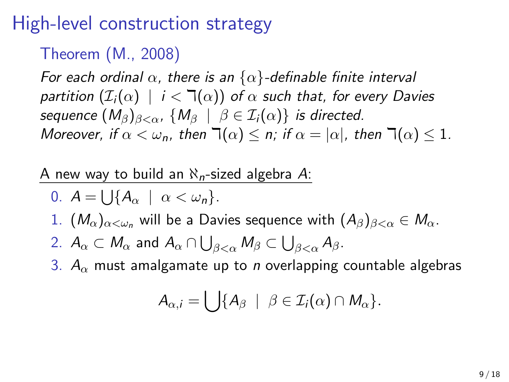#### Theorem (M., 2008)

For each ordinal  $\alpha$ , there is an  $\{\alpha\}$ -definable finite interval partition  $(\mathcal{I}_i(\alpha) \mid i < \mathcal{I}(\alpha))$  of  $\alpha$  such that, for every Davies sequence  $(M_\beta)_{\beta<\alpha}$ ,  $\{M_\beta \mid \beta \in \mathcal{I}_i(\alpha)\}\$ is directed. Moreover, if  $\alpha < \omega_n$ , then  $\exists (\alpha) \leq n$ ; if  $\alpha = |\alpha|$ , then  $\exists (\alpha) \leq 1$ .

#### A new way to build an  $\aleph_n$ -sized algebra A:

\n- 0. 
$$
A = \bigcup \{ A_{\alpha} \mid \alpha < \omega_n \}
$$
.
\n- 1.  $(M_{\alpha})_{\alpha < \omega_n}$  will be a Davies sequence with  $(A_{\beta})_{\beta < \alpha} \in M_{\alpha}$ .
\n- 2.  $A_{\alpha} \subset M_{\alpha}$  and  $A_{\alpha} \cap \bigcup_{\beta < \alpha} M_{\beta} \subset \bigcup_{\beta < \alpha} A_{\beta}$ .
\n- 3.  $A_{\alpha}$  must analgamate up to *n* overlapping countable algebras.
\n

$$
A_{\alpha,i}=\bigcup\{A_{\beta}\mid \beta\in\mathcal{I}_i(\alpha)\cap M_{\alpha}\}.
$$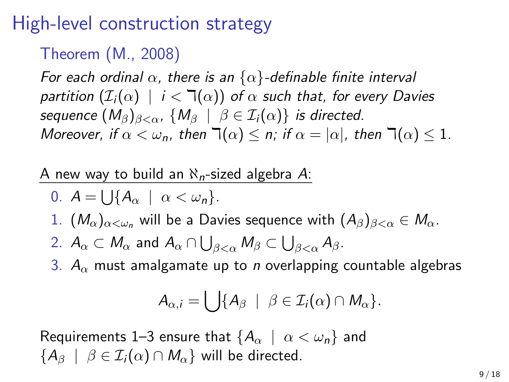#### Theorem (M., 2008)

For each ordinal  $\alpha$ , there is an  $\{\alpha\}$ -definable finite interval partition  $(\mathcal{I}_i(\alpha) \mid i < \mathbb{k}(\alpha))$  of  $\alpha$  such that, for every Davies sequence  $(M_\beta)_{\beta<\alpha}$ ,  $\{M_\beta \mid \beta \in \mathcal{I}_i(\alpha)\}\$ is directed. Moreover, if  $\alpha < \omega_n$ , then  $\exists (\alpha) \leq n$ ; if  $\alpha = |\alpha|$ , then  $\exists (\alpha) \leq 1$ .

A new way to build an  $\aleph_n$ -sized algebra A:

\n- 0. 
$$
A = \bigcup \{ A_{\alpha} \mid \alpha < \omega_n \}
$$
.
\n- 1.  $(M_{\alpha})_{\alpha < \omega_n}$  will be a Davies sequence with  $(A_{\beta})_{\beta < \alpha} \in M_{\alpha}$ .
\n- 2.  $A_{\alpha} \subset M_{\alpha}$  and  $A_{\alpha} \cap \bigcup_{\beta < \alpha} M_{\beta} \subset \bigcup_{\beta < \alpha} A_{\beta}$ .
\n- 3.  $A_{\alpha}$  must analyze up to *n* overlapping countable algebra.
\n

3.  $A_{\alpha}$  must amalgamate up to *n* overlapping countable algebras

$$
A_{\alpha,i}=\bigcup\{A_{\beta}\mid \beta\in\mathcal{I}_i(\alpha)\cap M_{\alpha}\}.
$$

Requirements 1–3 ensure that  $\{A_\alpha \mid \alpha < \omega_n\}$  and  ${A_{\beta} \mid \beta \in \mathcal{I}_i(\alpha) \cap M_{\alpha}}$  will be directed.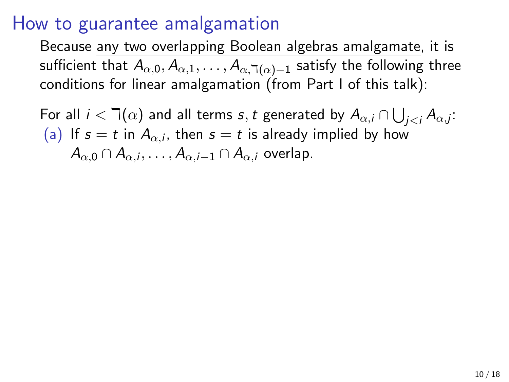Because any two overlapping Boolean algebras amalgamate, it is sufficient that  $A_{\alpha,0},A_{\alpha,1},\ldots,A_{\alpha,\daleth(\alpha)-1}$  satisfy the following three conditions for linear amalgamation (from Part I of this talk):

For all  $i < \daleth(\alpha)$  and all terms  $s,t$  generated by  $A_{\alpha,i} \cap \bigcup_{j < i} A_{\alpha,j}$ : (a) If  $s=t$  in  $A_{\alpha,i}$ , then  $s=t$  is already implied by how  $A_{\alpha,0}\cap A_{\alpha,i},\ldots,A_{\alpha,i-1}\cap A_{\alpha,i}$  overlap.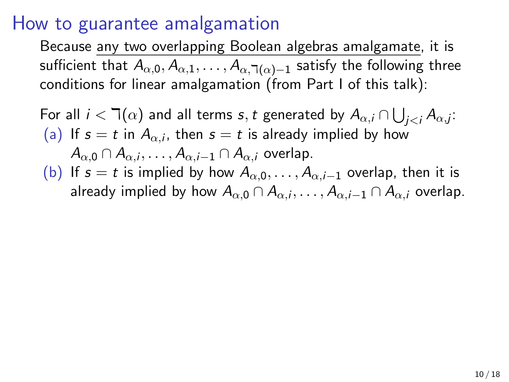Because any two overlapping Boolean algebras amalgamate, it is sufficient that  $A_{\alpha,0},A_{\alpha,1},\ldots,A_{\alpha,\daleth(\alpha)-1}$  satisfy the following three conditions for linear amalgamation (from Part I of this talk):

For all  $i < \daleth(\alpha)$  and all terms  $s,t$  generated by  $A_{\alpha,i} \cap \bigcup_{j < i} A_{\alpha,j}$ : (a) If  $s=t$  in  $A_{\alpha,i}$ , then  $s=t$  is already implied by how  $A_{\alpha,0}\cap A_{\alpha,i},\ldots,A_{\alpha,i-1}\cap A_{\alpha,i}$  overlap. (b) If  $s = t$  is implied by how  $A_{\alpha,0}, \ldots, A_{\alpha,i-1}$  overlap, then it is already implied by how  $A_{\alpha,0}\cap A_{\alpha,i},\ldots,A_{\alpha,i-1}\cap A_{\alpha,i}$  overlap.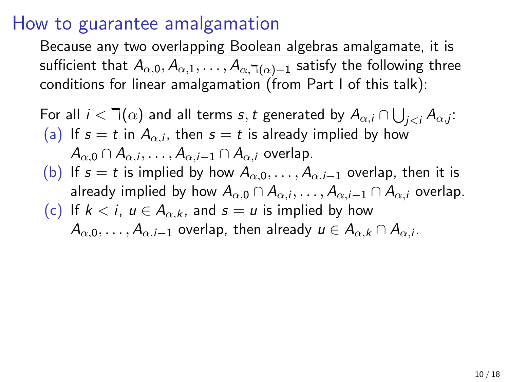Because any two overlapping Boolean algebras amalgamate, it is sufficient that  $A_{\alpha,0},A_{\alpha,1},\ldots,A_{\alpha,\daleth(\alpha)-1}$  satisfy the following three conditions for linear amalgamation (from Part I of this talk):

For all 
$$
i < \mathbb{I}(\alpha)
$$
 and all terms  $s, t$  generated by  $A_{\alpha,i} \cap \bigcup_{j < i} A_{\alpha,j}$ : (a) If  $s = t$  in  $A_{\alpha,i}$ , then  $s = t$  is already implied by how  $A_{\alpha,0} \cap A_{\alpha,i}, \ldots, A_{\alpha,i-1} \cap A_{\alpha,i}$  overlap. (b) If  $s = t$  is implied by how  $A_{\alpha,0}, \ldots, A_{\alpha,i-1}$  overlap, then it is already implied by how  $A_{\alpha,0} \cap A_{\alpha,i}, \ldots, A_{\alpha,i-1} \cap A_{\alpha,i}$  overlap. (c) If  $k < i$ ,  $u \in A_{\alpha,k}$ , and  $s = u$  is implied by how  $A_{\alpha,0}, \ldots, A_{\alpha,i-1}$  overlap, then already  $u \in A_{\alpha,k} \cap A_{\alpha,i}$ .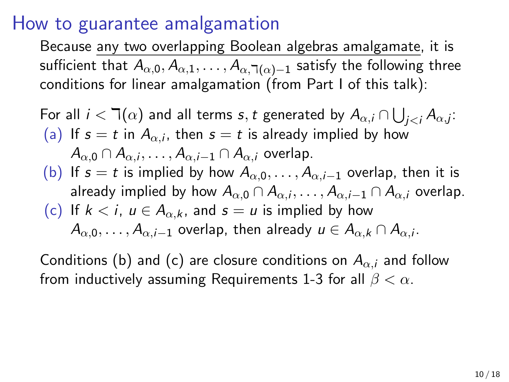Because any two overlapping Boolean algebras amalgamate, it is sufficient that  $A_{\alpha,0},A_{\alpha,1},\ldots,A_{\alpha,\daleth(\alpha)-1}$  satisfy the following three conditions for linear amalgamation (from Part I of this talk):

For all 
$$
i < \mathbb{I}(\alpha)
$$
 and all terms  $s, t$  generated by  $A_{\alpha,i} \cap \bigcup_{j < i} A_{\alpha,j}$ : (a) If  $s = t$  in  $A_{\alpha,i}$ , then  $s = t$  is already implied by how  $A_{\alpha,0} \cap A_{\alpha,i}, \ldots, A_{\alpha,i-1} \cap A_{\alpha,i}$  overlap. (b) If  $s = t$  is implied by how  $A_{\alpha,0}, \ldots, A_{\alpha,i-1}$  overlap, then it is already implied by how  $A_{\alpha,0} \cap A_{\alpha,i}, \ldots, A_{\alpha,i-1} \cap A_{\alpha,i}$  overlap. (c) If  $k < i$ ,  $u \in A_{\alpha,k}$ , and  $s = u$  is implied by how  $A_{\alpha,0}, \ldots, A_{\alpha,i-1}$  overlap, then already  $u \in A_{\alpha,k} \cap A_{\alpha,i}$ .

Conditions (b) and (c) are closure conditions on  $A_{\alpha,i}$  and follow from inductively assuming Requirements 1-3 for all  $\beta < \alpha$ .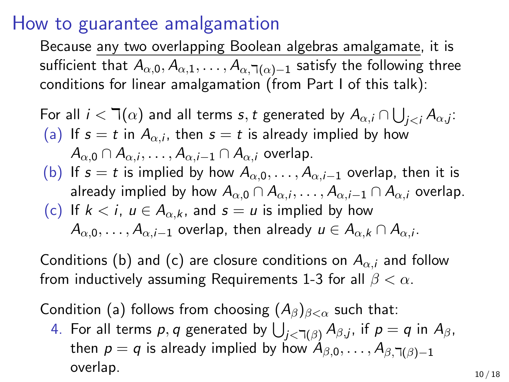Because any two overlapping Boolean algebras amalgamate, it is sufficient that  $A_{\alpha,0},A_{\alpha,1},\ldots,A_{\alpha,\daleth(\alpha)-1}$  satisfy the following three conditions for linear amalgamation (from Part I of this talk):

For all 
$$
i < \mathbb{I}(\alpha)
$$
 and all terms  $s, t$  generated by  $A_{\alpha,i} \cap \bigcup_{j < i} A_{\alpha,j}$ : (a) If  $s = t$  in  $A_{\alpha,i}$ , then  $s = t$  is already implied by how  $A_{\alpha,0} \cap A_{\alpha,i}, \ldots, A_{\alpha,i-1} \cap A_{\alpha,i}$  overlap. (b) If  $s = t$  is implied by how  $A_{\alpha,0}, \ldots, A_{\alpha,i-1}$  overlap, then it is already implied by how  $A_{\alpha,0} \cap A_{\alpha,i}, \ldots, A_{\alpha,i-1} \cap A_{\alpha,i}$  overlap. (c) If  $k < i$ ,  $u \in A_{\alpha,k}$ , and  $s = u$  is implied by how  $A_{\alpha,0}, \ldots, A_{\alpha,i-1}$  overlap, then already  $u \in A_{\alpha,k} \cap A_{\alpha,i}$ .

Conditions (b) and (c) are closure conditions on  $A_{\alpha,i}$  and follow from inductively assuming Requirements 1-3 for all  $\beta < \alpha$ .

Condition (a) follows from choosing  $(A_\beta)_{\beta<\alpha}$  such that:

4. For all terms  $p,q$  generated by  $\bigcup_{j<\daleth(\beta)}A_{\beta,j}$ , if  $p=q$  in  $A_{\beta},$ then  $p = q$  is already implied by how  $A_{\beta,0}, \ldots, A_{\beta,1}(\beta)-1$ overlap.  $10/18$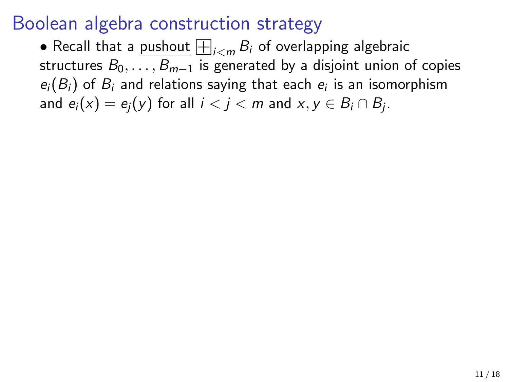### Boolean algebra construction strategy

**•** Recall that a <u>pushout</u>  $\Box|_{i \lt m} B_i$  of overlapping algebraic structures  $B_0, \ldots, B_{m-1}$  is generated by a disjoint union of copies  $e_i(B_i)$  of  $B_i$  and relations saying that each  $e_i$  is an isomorphism and  $e_i(x) = e_j(y)$  for all  $i < j < m$  and  $x, y \in B_i \cap B_j$ .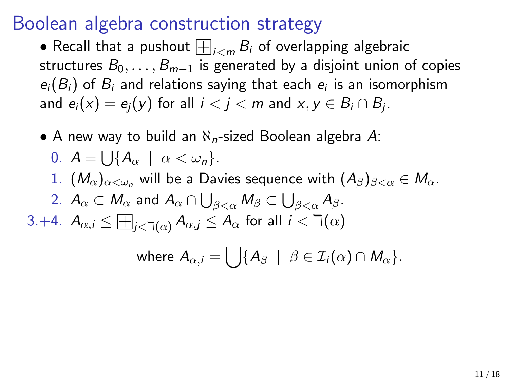### Boolean algebra construction strategy

**•** Recall that a <u>pushout</u>  $\Box|_{i \lt m} B_i$  of overlapping algebraic structures  $B_0, \ldots, B_{m-1}$  is generated by a disjoint union of copies  $e_i(B_i)$  of  $B_i$  and relations saying that each  $e_i$  is an isomorphism and  $e_i(x) = e_j(y)$  for all  $i < j < m$  and  $x, y \in B_i \cap B_j$ .

• A new way to build an  $\aleph_n$ -sized Boolean algebra A: 0.  $A = \bigcup \{A_\alpha \mid \alpha < \omega_n\}.$ 1.  $(M_{\alpha})_{\alpha<\omega_n}$  will be a Davies sequence with  $(A_{\beta})_{\beta<\alpha}\in M_{\alpha}$ . 2.  $A_{\alpha} \subset M_{\alpha}$  and  $A_{\alpha} \cap \bigcup_{\beta < \alpha} M_{\beta} \subset \bigcup_{\beta < \alpha} A_{\beta}$ . 3.+4.  $A_{\alpha,i} \leq \boxplus_{j<\daleth(\alpha)} A_{\alpha,j} \leq A_{\alpha}$  for all  $i<\daleth(\alpha)$ 

where 
$$
A_{\alpha,i} = \bigcup \{ A_{\beta} \mid \beta \in \mathcal{I}_i(\alpha) \cap M_{\alpha} \}.
$$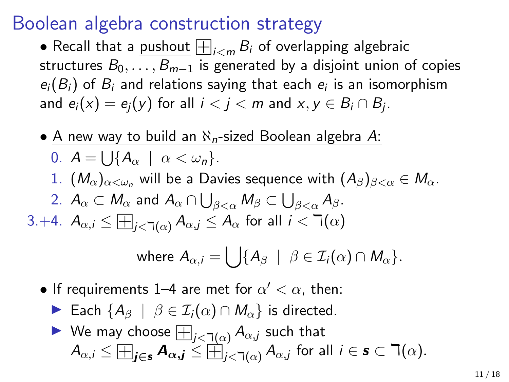### Boolean algebra construction strategy

**•** Recall that a <u>pushout</u>  $\Box|_{i \lt m} B_i$  of overlapping algebraic structures  $B_0, \ldots, B_{m-1}$  is generated by a disjoint union of copies  $e_i(B_i)$  of  $B_i$  and relations saying that each  $e_i$  is an isomorphism and  $e_i(x) = e_j(y)$  for all  $i < j < m$  and  $x, y \in B_i \cap B_j$ .

• A new way to build an  $\aleph_n$ -sized Boolean algebra A: 0.  $A = \bigcup \{A_\alpha \mid \alpha < \omega_n\}.$ 1.  $(M_{\alpha})_{\alpha<\omega_n}$  will be a Davies sequence with  $(A_{\beta})_{\beta<\alpha}\in M_{\alpha}$ . 2.  $A_{\alpha} \subset M_{\alpha}$  and  $A_{\alpha} \cap \bigcup_{\beta < \alpha} M_{\beta} \subset \bigcup_{\beta < \alpha} A_{\beta}$ . 3.+4.  $A_{\alpha,i} \leq \boxplus_{j<\daleth(\alpha)} A_{\alpha,j} \leq A_{\alpha}$  for all  $i<\daleth(\alpha)$ where  $A_{\alpha ,i} = \bigcup \{ A_\beta \ \mid \ \beta \in \mathcal{I}_i(\alpha) \cap M_\alpha \}.$ 

• If requirements 1–4 are met for 
$$
\alpha' < \alpha
$$
, then:

- $\triangleright$  Each {A<sub>β</sub> | β ∈  $\mathcal{I}_i(\alpha) \cap M_\alpha$ } is directed.
- Each  ${^{\mathcal{A}}A^{\beta}}$   $\beta \in L_i(\alpha) \cap M_{\alpha}$  is directe<br>  $\blacktriangleright$  We may choose  $\boxplus_{j < \exists (\alpha)} A_{\alpha,j}$  such that  $A_{\alpha,i} \leq \boxplus_{j\in s} A_{\alpha,j} \leq \boxplus_{j<\exists (\alpha)}^{\alpha, \forall} A_{\alpha,j}$  for all  $i \in s \subset \exists (\alpha).$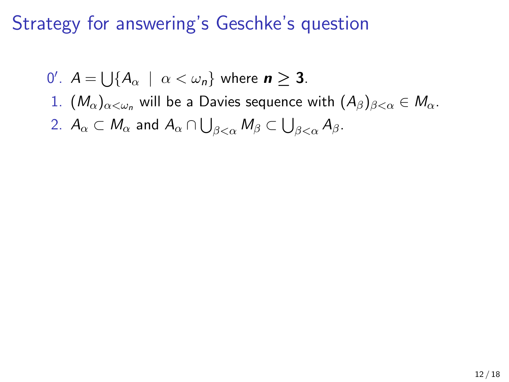0'.  $A = \bigcup \{ A_{\alpha} \mid \alpha < \omega_n \}$  where  $n \geq 3$ . 1.  $(M_{\alpha})_{\alpha<\omega_n}$  will be a Davies sequence with  $(A_{\beta})_{\beta<\alpha}\in M_{\alpha}$ . 2.  $A_\alpha\subset M_\alpha$  and  $A_\alpha\cap\bigcup_{\beta<\alpha}M_\beta\subset\bigcup_{\beta<\alpha}A_\beta.$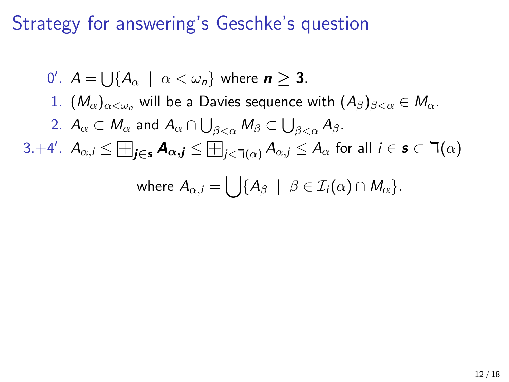\n- \n
$$
0'
$$
.  $A = \bigcup \{ A_{\alpha} \mid \alpha < \omega_n \}$  where  $n \geq 3$ .\n
\n- \n $1. \, (M_{\alpha})_{\alpha < \omega_n}$  will be a Davies sequence with  $(A_{\beta})_{\beta < \alpha} \in M_{\alpha}$ .\n
\n- \n $A_{\alpha} \subset M_{\alpha}$  and  $A_{\alpha} \cap \bigcup_{\beta < \alpha} M_{\beta} \subset \bigcup_{\beta < \alpha} A_{\beta}$ .\n
\n- \n $3. + 4'$ .  $A_{\alpha,i} \leq \bigoplus_{j \in \mathbf{s}} A_{\alpha,j} \leq \bigoplus_{j < \gamma(\alpha)} A_{\alpha,j} \leq A_{\alpha}$  for all  $i \in \mathbf{s} \subset \gamma(\alpha)$ .\n
\n- \n where  $A_{\alpha,i} = \bigcup \{ A_{\beta} \mid \beta \in \mathcal{I}_i(\alpha) \cap M_{\alpha} \}$ .\n
\n

$$
12 \;/ \;18
$$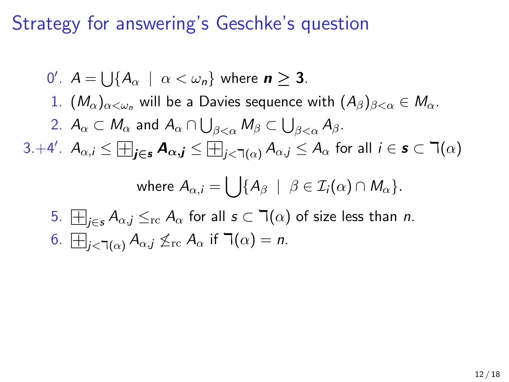\n- \n
$$
0'
$$
.  $A = \bigcup \{ A_{\alpha} \mid \alpha < \omega_n \}$  where  $n \geq 3$ .\n
\n- \n $1. \left( M_{\alpha} \right)_{\alpha < \omega_n}$  will be a Davies sequence with  $(A_{\beta})_{\beta < \alpha} \in M_{\alpha}$ .\n
\n- \n $A_{\alpha} \subset M_{\alpha}$  and  $A_{\alpha} \cap \bigcup_{\beta < \alpha} M_{\beta} \subset \bigcup_{\beta < \alpha} A_{\beta}$ .\n
\n- \n $3. + 4'$ .  $A_{\alpha,i} \leq \bigoplus_{j \in s} A_{\alpha,j} \leq \bigoplus_{j < \gamma(\alpha)} A_{\alpha,j} \leq A_{\alpha}$  for all  $i \in s \subset \gamma(\alpha)$  where  $A_{\alpha,i} = \bigcup \{ A_{\beta} \mid \beta \in \mathcal{I}_i(\alpha) \cap M_{\alpha} \}$ .\n
\n- \n $5. \bigoplus_{j \in s} A_{\alpha,j} \leq_{\text{rc}} A_{\alpha}$  for all  $s \subset \gamma(\alpha)$  of size less than  $n$ .\n
\n- \n $6. \bigoplus_{j < \gamma(\alpha)} A_{\alpha,j} \leq_{\text{rc}} A_{\alpha}$  if  $\gamma(\alpha) = n$ .\n
\n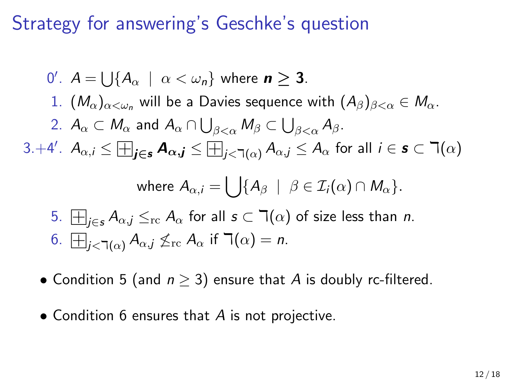\n- \n
$$
0'
$$
.  $A = \bigcup \{ A_{\alpha} \mid \alpha < \omega_n \}$  where  $n \geq 3$ .\n
\n- \n $1. \, (M_{\alpha})_{\alpha < \omega_n}$  will be a Davies sequence with  $(A_{\beta})_{\beta < \alpha} \in M_{\alpha}$ .\n
\n- \n $A_{\alpha} \subset M_{\alpha}$  and  $A_{\alpha} \cap \bigcup_{\beta < \alpha} M_{\beta} \subset \bigcup_{\beta < \alpha} A_{\beta}$ .\n
\n- \n $3. + 4'$ .  $A_{\alpha,i} \leq \bigoplus_{j \in \mathbf{s}} \mathbf{A}_{\alpha,j} \leq \bigoplus_{j < \gamma(\alpha)} A_{\alpha,j} \leq A_{\alpha}$  for all  $i \in \mathbf{s} \subset \gamma(\alpha)$  where  $A_{\alpha,i} = \bigcup \{ A_{\beta} \mid \beta \in \mathcal{I}_i(\alpha) \cap M_{\alpha} \}$ .\n
\n- \n $5. \, \bigoplus_{j \in \mathbf{s}} A_{\alpha,j} \leq_{\text{rc}} A_{\alpha}$  for all  $s \subset \gamma(\alpha)$  of size less than  $n$ .\n
\n- \n $6. \, \bigoplus_{j < \gamma(\alpha)} A_{\alpha,j} \leq_{\text{rc}} A_{\alpha}$  if  $\gamma(\alpha) = n$ .\n
\n

- Condition 5 (and  $n \geq 3$ ) ensure that A is doubly rc-filtered.
- Condition 6 ensures that A is not projective.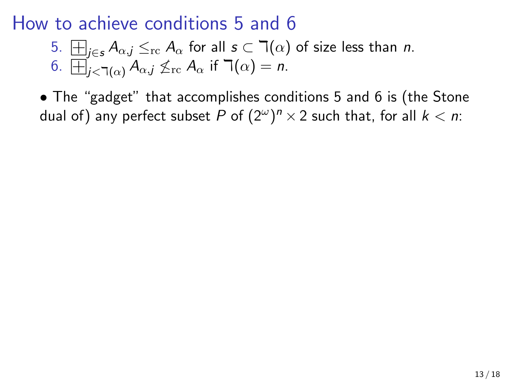5. 
$$
\Box_{j\in s} A_{\alpha,j} \leq_{\text{rc}} A_{\alpha}
$$
 for all  $s \subset \Box(\alpha)$  of size less than *n*. 6.  $\Box_{j<\Box(\alpha)} A_{\alpha,j} \nleq_{\text{rc}} A_{\alpha}$  if  $\Box(\alpha) = n$ .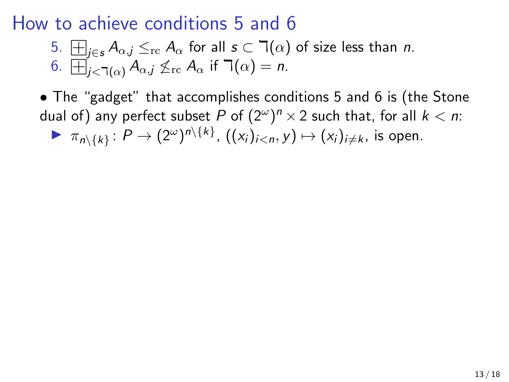5. 
$$
\Box_{j\in s} A_{\alpha,j} \leq_{\text{rc}} A_{\alpha}
$$
 for all  $s \subset \Box(\alpha)$  of size less than *n*. 6.  $\Box_{j<\Box(\alpha)} A_{\alpha,j} \nleq_{\text{rc}} A_{\alpha}$  if  $\Box(\alpha) = n$ .

• The "gadget" that accomplishes conditions 5 and 6 is (the Stone dual of) any perfect subset  $P$  of  $(2^{\omega})^n \times 2$  such that, for all  $k < n$ :

 $\blacktriangleright \pi_{n\setminus\{k\}}\colon P\to (2^\omega)^{n\setminus\{k\}}, ((x_i)_{i is open.$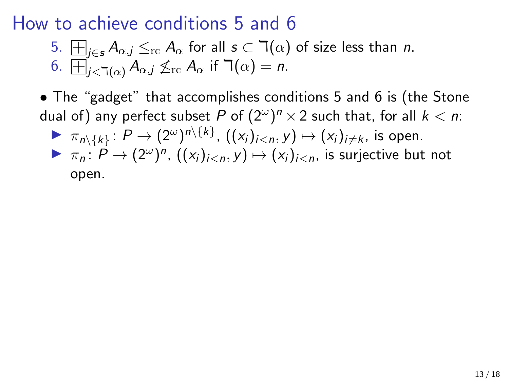5. 
$$
\Box_{j\in s} A_{\alpha,j} \leq_{\text{rc}} A_{\alpha}
$$
 for all  $s \subset \Box(\alpha)$  of size less than *n*. 6.  $\Box_{j<\Box(\alpha)} A_{\alpha,j} \nleq_{\text{rc}} A_{\alpha}$  if  $\Box(\alpha) = n$ .

\n- \n
$$
\pi_{n\setminus\{k\}}: P \to (2^{\omega})^{n\setminus\{k\}}, \left( (x_i)_{i < n}, y \right) \mapsto (x_i)_{i \neq k}, \text{ is open.}
$$
\n
\n- \n $\pi_n: P \to (2^{\omega})^n, \left( (x_i)_{i < n}, y \right) \mapsto (x_i)_{i < n}, \text{ is surjective but not open.}$ \n
\n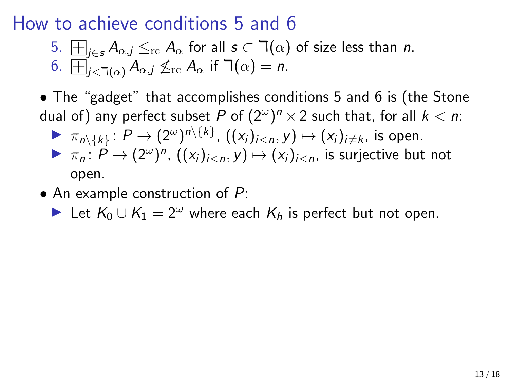5. 
$$
\Box_{j\in s} A_{\alpha,j} \leq_{\text{rc}} A_{\alpha}
$$
 for all  $s \subset \Box(\alpha)$  of size less than *n*. 6.  $\Box_{j<\Box(\alpha)} A_{\alpha,j} \nleq_{\text{rc}} A_{\alpha}$  if  $\Box(\alpha) = n$ .

• The "gadget" that accomplishes conditions 5 and 6 is (the Stone dual of) any perfect subset  $P$  of  $(2^{\omega})^n \times 2$  such that, for all  $k < n$ :

\n- \n
$$
\pi_{n\setminus\{k\}}: P \to (2^{\omega})^{n\setminus\{k\}}, \left( (x_i)_{i < n}, y \right) \mapsto (x_i)_{i \neq k}, \text{ is open.}
$$
\n
\n- \n $\pi_n: P \to (2^{\omega})^n, \left( (x_i)_{i < n}, y \right) \mapsto (x_i)_{i < n}, \text{ is surjective but not open.}$ \n
\n

 $\bullet$  An example construction of  $P$ :

► Let  $K_0 \cup K_1 = 2^{\omega}$  where each  $K_h$  is perfect but not open.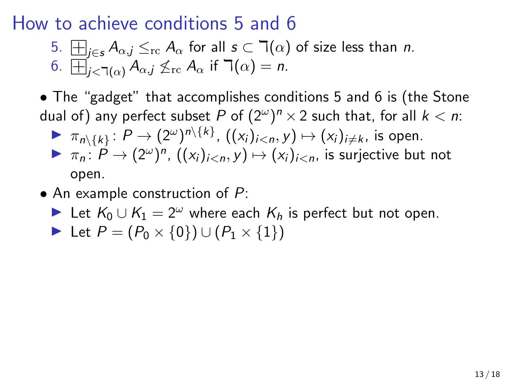5. 
$$
\Box_{j\in s} A_{\alpha,j} \leq_{\text{rc}} A_{\alpha}
$$
 for all  $s \subset \Box(\alpha)$  of size less than *n*. 6.  $\Box_{j<\Box(\alpha)} A_{\alpha,j} \nleq_{\text{rc}} A_{\alpha}$  if  $\Box(\alpha) = n$ .

\n- \n
$$
\pi_{n\setminus\{k\}}: P \to (2^{\omega})^{n\setminus\{k\}}, ((x_i)_{i < n}, y) \mapsto (x_i)_{i \neq k}
$$
, is open.\n
\n- \n $\pi_n: P \to (2^{\omega})^n, ((x_i)_{i < n}, y) \mapsto (x_i)_{i < n}$ , is surjective but not open.\n
\n

- An example construction of  $P$ :
	- ► Let  $K_0 \cup K_1 = 2^{\omega}$  where each  $K_h$  is perfect but not open.
	- **►** Let  $P = (P_0 \times \{0\}) \cup (P_1 \times \{1\})$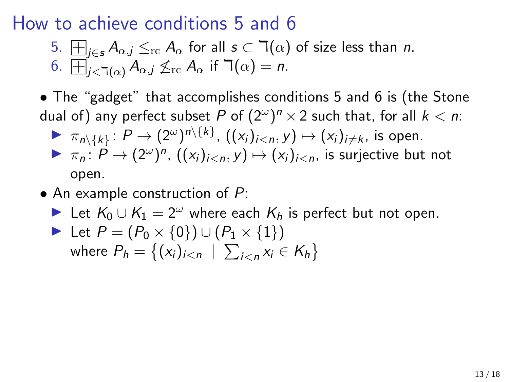5. 
$$
\Box_{j\in s} A_{\alpha,j} \leq_{\text{rc}} A_{\alpha}
$$
 for all  $s \subset \Box(\alpha)$  of size less than *n*. 6.  $\Box_{j<\Box(\alpha)} A_{\alpha,j} \nleq_{\text{rc}} A_{\alpha}$  if  $\Box(\alpha) = n$ .

\n- \n
$$
\pi_{n\setminus\{k\}}: P \to (2^{\omega})^{n\setminus\{k\}}, ((x_i)_{i < n}, y) \mapsto (x_i)_{i \neq k}
$$
, is open.\n
\n- \n $\pi_n: P \to (2^{\omega})^n, ((x_i)_{i < n}, y) \mapsto (x_i)_{i < n}$ , is surjective but not open.\n
\n

- An example construction of  $P$ :
	- ► Let  $K_0 \cup K_1 = 2^{\omega}$  where each  $K_h$  is perfect but not open.

Let 
$$
P = (P_0 \times \{0\}) \cup (P_1 \times \{1\})
$$
  
where  $P_h = \{(x_i)_{i \le n} \mid \sum_{i \le n} x_i \in K_h\}$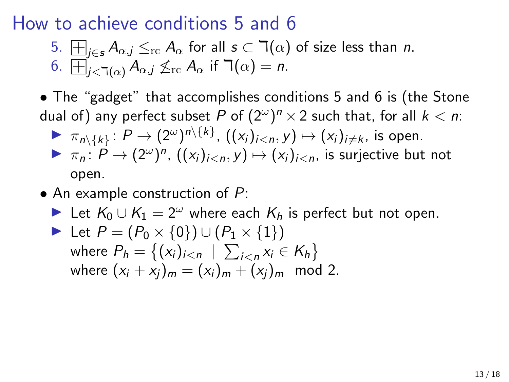5. 
$$
\Box_{j\in s} A_{\alpha,j} \leq_{\text{rc}} A_{\alpha}
$$
 for all  $s \subset \Box(\alpha)$  of size less than *n*. 6.  $\Box_{j<\Box(\alpha)} A_{\alpha,j} \nleq_{\text{rc}} A_{\alpha}$  if  $\Box(\alpha) = n$ .

\n- \n
$$
\pi_{n\setminus\{k\}}: P \to (2^{\omega})^{n\setminus\{k\}}, ((x_i)_{i < n}, y) \mapsto (x_i)_{i \neq k}
$$
, is open.\n
\n- \n $\pi_n: P \to (2^{\omega})^n, ((x_i)_{i < n}, y) \mapsto (x_i)_{i < n}$ , is surjective but not open.\n
\n

- An example construction of  $P$ :
	- ► Let  $K_0 \cup K_1 = 2^{\omega}$  where each  $K_h$  is perfect but not open.

Let 
$$
P = (P_0 \times \{0\}) \cup (P_1 \times \{1\})
$$
  
where  $P_h = \{(x_i)_{i \le n} \mid \sum_{i \le n} x_i \in K_h\}$   
where  $(x_i + x_j)_m = (x_i)_m + (x_j)_m \mod 2$ .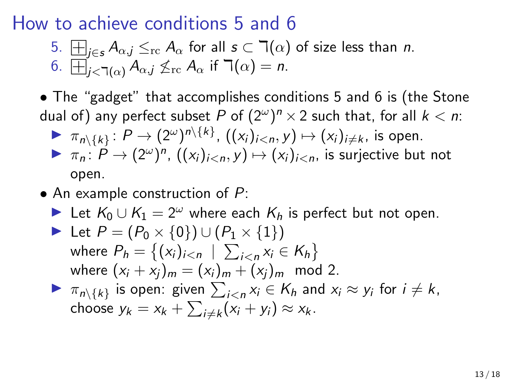5. 
$$
\Box_{j\in s} A_{\alpha,j} \leq_{\text{rc}} A_{\alpha}
$$
 for all  $s \subset \Box(\alpha)$  of size less than *n*. 6.  $\Box_{j<\Box(\alpha)} A_{\alpha,j} \nleq_{\text{rc}} A_{\alpha}$  if  $\Box(\alpha) = n$ .

\n- \n
$$
\pi_{n\setminus\{k\}}: P \to (2^{\omega})^{n\setminus\{k\}}, ((x_i)_{i < n}, y) \mapsto (x_i)_{i \neq k}
$$
, is open.\n
\n- \n $\pi_n: P \to (2^{\omega})^n, ((x_i)_{i < n}, y) \mapsto (x_i)_{i < n}$ , is surjective but not open.\n
\n

- An example construction of  $P$ :
	- ► Let  $K_0 \cup K_1 = 2^{\omega}$  where each  $K_h$  is perfect but not open.

\n- Let 
$$
P = (P_0 \times \{0\}) \cup (P_1 \times \{1\})
$$
 where  $P_h = \{(x_i)_{i < n} \mid \sum_{i < n} x_i \in K_h\}$  where  $(x_i + x_j)_m = (x_i)_m + (x_j)_m \mod 2$ .
\n- $\pi_{n \setminus \{k\}}$  is open: given  $\sum_{i < n} x_i \in K_h$  and  $x_i \approx y_i$  for  $i \neq k$ ,
\n

choose 
$$
y_k = x_k + \sum_{i \neq k} (x_i + y_i) \approx x_k
$$
.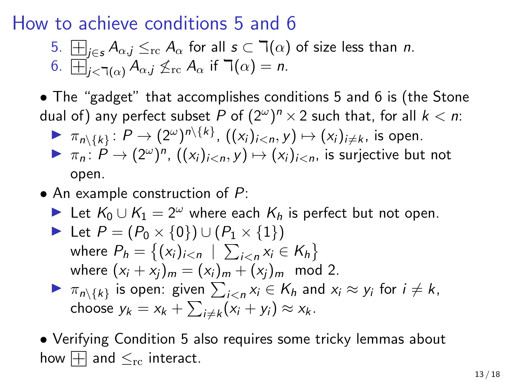5. 
$$
\Box_{j\in s} A_{\alpha,j} \leq_{\text{rc}} A_{\alpha}
$$
 for all  $s \subset \Box(\alpha)$  of size less than *n*. 6.  $\Box_{j<\Box(\alpha)} A_{\alpha,j} \nleq_{\text{rc}} A_{\alpha}$  if  $\Box(\alpha) = n$ .

• The "gadget" that accomplishes conditions 5 and 6 is (the Stone dual of) any perfect subset  $P$  of  $(2^{\omega})^n \times 2$  such that, for all  $k < n$ :

\n- \n
$$
\pi_{n\setminus\{k\}}: P \to (2^{\omega})^{n\setminus\{k\}}, ((x_i)_{i < n}, y) \mapsto (x_i)_{i \neq k}
$$
, is open.\n
\n- \n $\pi_n: P \to (2^{\omega})^n, ((x_i)_{i < n}, y) \mapsto (x_i)_{i < n}$ , is surjective but not open.\n
\n

- An example construction of  $P$ :
	- ► Let  $K_0 \cup K_1 = 2^{\omega}$  where each  $K_h$  is perfect but not open.

\n- Let 
$$
P = (P_0 \times \{0\}) \cup (P_1 \times \{1\})
$$
 where  $P_h = \{(x_i)_{i < n} \mid \sum_{i < n} x_i \in K_h\}$  where  $(x_i + x_j)_m = (x_i)_m + (x_j)_m \mod 2$ .
\n- $\pi_{n\setminus\{k\}}$  is open: given  $\sum_{i < n} x_i \in K_h$  and  $x_i \approx y_i$  for  $i \neq k$ , choose  $y_k = x_k + \sum_{i \neq k} (x_i + y_i) \approx x_k$ .
\n

• Verifying Condition 5 also requires some tricky lemmas about how  $\Box$  and  $\leq_{\rm rc}$  interact.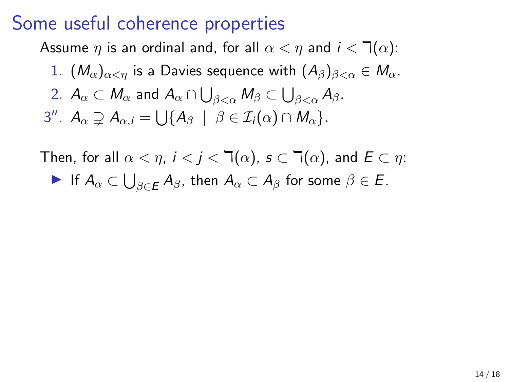Assume  $\eta$  is an ordinal and, for all  $\alpha < \eta$  and  $i < \mathcal{T}(\alpha)$ : 1.  $(M_{\alpha})_{\alpha\leq n}$  is a Davies sequence with  $(A_{\beta})_{\beta\leq\alpha}\in M_{\alpha}$ .

\n- 1. 
$$
(M_{\alpha})_{\alpha < \eta}
$$
 is a Davies sequence with  $(A_{\beta})_{\beta < \alpha} \in$
\n- 2.  $A_{\alpha} \subset M_{\alpha}$  and  $A_{\alpha} \cap \bigcup_{\beta < \alpha} M_{\beta} \subset \bigcup_{\beta < \alpha} A_{\beta}$
\n- 3''.  $A_{\alpha} \supsetneq A_{\alpha,i} = \bigcup \{A_{\beta} \mid \beta \in \mathcal{I}_i(\alpha) \cap M_{\alpha}\}$
\n

Then, for all  $\alpha < \eta$ ,  $i < j < \mathbb{I}(\alpha)$ ,  $s \subset \mathbb{I}(\alpha)$ , and  $E \subset \eta$ :  $\blacktriangleright$  If  $A_\alpha\subset\bigcup_{\beta\in E}A_\beta$ , then  $A_\alpha\subset A_\beta$  for some  $\beta\in E$ .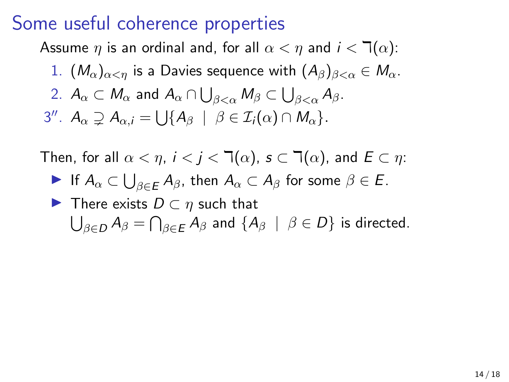Assume  $\eta$  is an ordinal and, for all  $\alpha < \eta$  and  $i < \mathcal{T}(\alpha)$ :

1.  $(M_{\alpha})_{\alpha<\eta}$  is a Davies sequence with  $(A_{\beta})_{\beta<\alpha}\in M_{\alpha}$ . 2.  $A_\alpha\subset M_\alpha$  and  $A_\alpha\cap\bigcup_{\beta<\alpha}M_\beta\subset\bigcup_{\beta<\alpha}A_\beta.$ 3''.  $A_{\alpha} \supsetneq A_{\alpha,i} = \bigcup \{ A_{\beta} \mid \beta \in \mathcal{I}_i(\alpha) \cap M_{\alpha} \}.$ 

Then, for all  $\alpha < \eta$ ,  $i < j < \mathbb{I}(\alpha)$ ,  $s \subset \mathbb{I}(\alpha)$ , and  $E \subset \eta$ :  $\blacktriangleright$  If  $A_\alpha\subset\bigcup_{\beta\in E}A_\beta$ , then  $A_\alpha\subset A_\beta$  for some  $\beta\in E$ .  $\blacktriangleright$  There exists  $D \subset \eta$  such that  $\bigcup_{\beta\in D}A_{\beta}=\bigcap_{\beta\in E}A_{\beta}$  and  $\{A_{\beta}\ \mid\ \beta\in D\}$  is directed.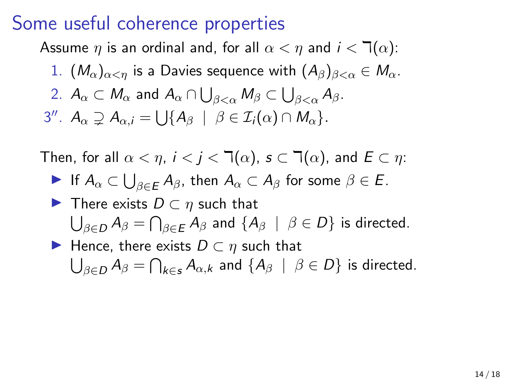Assume  $\eta$  is an ordinal and, for all  $\alpha < \eta$  and  $i < \mathcal{T}(\alpha)$ :

1.  $(M_{\alpha})_{\alpha<\eta}$  is a Davies sequence with  $(A_{\beta})_{\beta<\alpha}\in M_{\alpha}$ . 2.  $A_\alpha\subset M_\alpha$  and  $A_\alpha\cap\bigcup_{\beta<\alpha}M_\beta\subset\bigcup_{\beta<\alpha}A_\beta.$ 3''.  $A_{\alpha} \supsetneq A_{\alpha,i} = \bigcup \{ A_{\beta} \mid \beta \in \mathcal{I}_i(\alpha) \cap M_{\alpha} \}.$ 

Then, for all  $\alpha < \eta$ ,  $i < j < \mathbb{I}(\alpha)$ ,  $s \subset \mathbb{I}(\alpha)$ , and  $E \subset \eta$ :

- $\blacktriangleright$  If  $A_\alpha\subset\bigcup_{\beta\in E}A_\beta$ , then  $A_\alpha\subset A_\beta$  for some  $\beta\in E$ .
- $\blacktriangleright$  There exists  $D \subset \eta$  such that  $\bigcup_{\beta\in D}A_{\beta}=\bigcap_{\beta\in E}A_{\beta}$  and  $\{A_{\beta}\ \mid\ \beta\in D\}$  is directed.
- $\blacktriangleright$  Hence, there exists  $D \subset n$  such that  $\bigcup_{\beta\in D}A_\beta=\bigcap_{k\in s}A_{\alpha,k}$  and  $\{A_\beta\;\mid\;\beta\in D\}$  is directed.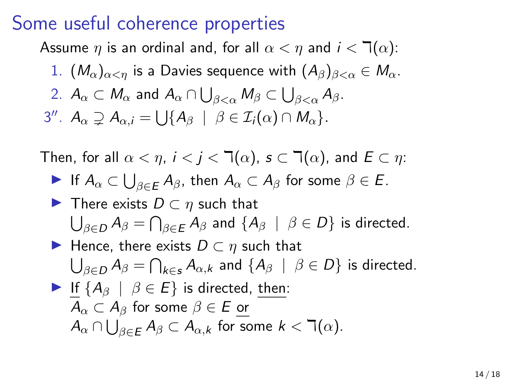Assume  $\eta$  is an ordinal and, for all  $\alpha < \eta$  and  $i < \mathbb{I}(\alpha)$ :

1.  $(M_{\alpha})_{\alpha<\eta}$  is a Davies sequence with  $(A_{\beta})_{\beta<\alpha}\in M_{\alpha}$ . 2.  $A_\alpha\subset M_\alpha$  and  $A_\alpha\cap\bigcup_{\beta<\alpha}M_\beta\subset\bigcup_{\beta<\alpha}A_\beta.$ 3''.  $A_{\alpha} \supsetneq A_{\alpha,i} = \bigcup \{ A_{\beta} \mid \beta \in \mathcal{I}_i(\alpha) \cap M_{\alpha} \}.$ 

Then, for all  $\alpha < \eta$ ,  $i < j < \mathbb{I}(\alpha)$ ,  $s \subset \mathbb{I}(\alpha)$ , and  $E \subset \eta$ :

$$
\blacktriangleright \text{ If } A_{\alpha} \subset \bigcup_{\beta \in E} A_{\beta}, \text{ then } A_{\alpha} \subset A_{\beta} \text{ for some } \beta \in E.
$$

 $\blacktriangleright$  There exists  $D \subset \eta$  such that  $\bigcup_{\beta\in D}A_{\beta}=\bigcap_{\beta\in E}A_{\beta}$  and  $\{A_{\beta}\ \mid\ \beta\in D\}$  is directed.

Hence, there exists 
$$
D \subset \eta
$$
 such that  
\n
$$
\bigcup_{\beta \in D} A_{\beta} = \bigcap_{k \in \mathcal{S}} A_{\alpha,k}
$$
 and  $\{A_{\beta} \mid \beta \in D\}$  is directed.

► If 
$$
\{A_{\beta} \mid \beta \in E\}
$$
 is directed, then:  
\n $A_{\alpha} \subset A_{\beta}$  for some  $\beta \in E$  or  
\n $A_{\alpha} \cap \bigcup_{\beta \in E} A_{\beta} \subset A_{\alpha,k}$  for some  $k < \exists (\alpha)$ .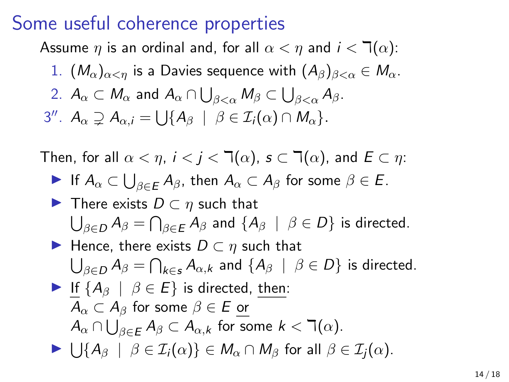Assume  $\eta$  is an ordinal and, for all  $\alpha < \eta$  and  $i < \mathcal{T}(\alpha)$ :

1.  $(M_{\alpha})_{\alpha<\eta}$  is a Davies sequence with  $(A_{\beta})_{\beta<\alpha}\in M_{\alpha}$ . 2.  $A_\alpha\subset M_\alpha$  and  $A_\alpha\cap\bigcup_{\beta<\alpha}M_\beta\subset\bigcup_{\beta<\alpha}A_\beta.$ 3''.  $A_{\alpha} \supsetneq A_{\alpha,i} = \bigcup \{ A_{\beta} \mid \beta \in \mathcal{I}_i(\alpha) \cap M_{\alpha} \}.$ 

Then, for all  $\alpha < \eta$ ,  $i < j < \mathbb{I}(\alpha)$ ,  $s \subset \mathbb{I}(\alpha)$ , and  $E \subset \eta$ :

**Example 16** If 
$$
A_{\alpha} \subset \bigcup_{\beta \in E} A_{\beta}
$$
, then  $A_{\alpha} \subset A_{\beta}$  for some  $\beta \in E$ .

 $\blacktriangleright$  There exists  $D \subset \eta$  such that  $\bigcup_{\beta\in D}A_{\beta}=\bigcap_{\beta\in E}A_{\beta}$  and  $\{A_{\beta}\ \mid\ \beta\in D\}$  is directed.

Hence, there exists 
$$
D \subset \eta
$$
 such that  
\n
$$
\bigcup_{\beta \in D} A_{\beta} = \bigcap_{k \in S} A_{\alpha,k} \text{ and } \{A_{\beta} \mid \beta \in D\} \text{ is directed.}
$$

► If 
$$
\{A_{\beta} \mid \beta \in E\}
$$
 is directed, then:  
\n $A_{\alpha} \subset A_{\beta}$  for some  $\beta \in E$  or  
\n $A_{\alpha} \cap \bigcup_{\beta \in E} A_{\beta} \subset A_{\alpha,k}$  for some  $k < \exists (\alpha)$ .

 $\blacktriangleright \bigcup \{ A_{\beta} \mid \beta \in \mathcal{I}_i(\alpha) \} \in M_{\alpha} \cap M_{\beta} \text{ for all } \beta \in \mathcal{I}_j(\alpha).$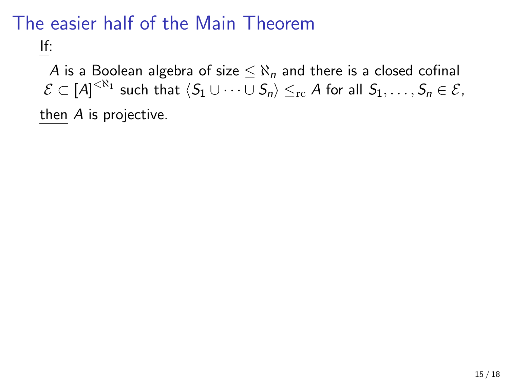# The easier half of the Main Theorem

If:

A is a Boolean algebra of size  $\leq \aleph_n$  and there is a closed cofinal  $\mathcal{E}\subset [A]^{<\aleph_1}$  such that  $\langle S_1\cup\cdots\cup S_n\rangle\leq_{\rm rc} A$  for all  $S_1,\ldots,S_n\in\mathcal{E},$ then A is projective.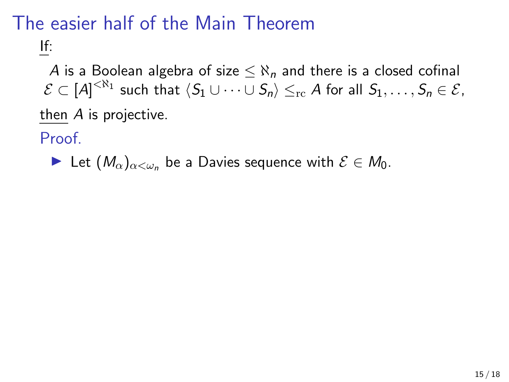# The easier half of the Main Theorem

If:

A is a Boolean algebra of size  $\leq \aleph_n$  and there is a closed cofinal  $\mathcal{E}\subset [A]^{<\aleph_1}$  such that  $\langle S_1\cup\cdots\cup S_n\rangle\leq_{\rm rc} A$  for all  $S_1,\ldots,S_n\in\mathcal{E},$ then A is projective.

Proof.

 $\blacktriangleright$  Let  $(M_{\alpha})_{\alpha<\omega_n}$  be a Davies sequence with  $\mathcal{E}\in M_0$ .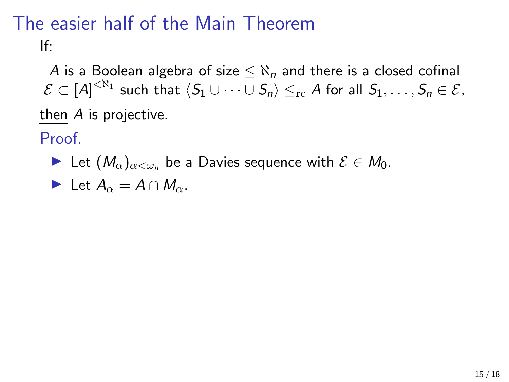# The easier half of the Main Theorem

If:

A is a Boolean algebra of size  $\leq \aleph_n$  and there is a closed cofinal  $\mathcal{E}\subset [A]^{<\aleph_1}$  such that  $\langle S_1\cup\cdots\cup S_n\rangle\leq_{\rm rc} A$  for all  $S_1,\ldots,S_n\in\mathcal{E},$ then A is projective.

Proof.

 $\blacktriangleright$  Let  $(M_{\alpha})_{\alpha<\omega_n}$  be a Davies sequence with  $\mathcal{E}\in M_0$ .

Let 
$$
A_{\alpha} = A \cap M_{\alpha}
$$
.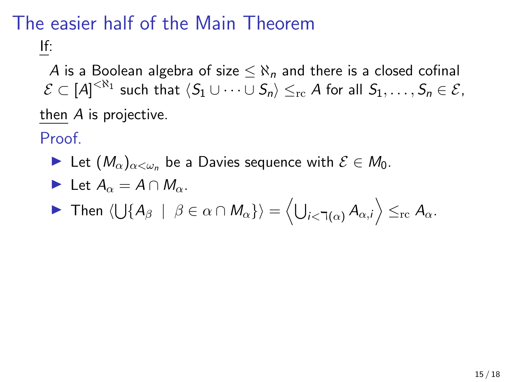# The easier half of the Main Theorem

If:

A is a Boolean algebra of size  $\leq \aleph_n$  and there is a closed cofinal  $\mathcal{E}\subset [A]^{<\aleph_1}$  such that  $\langle S_1\cup\cdots\cup S_n\rangle\leq_{\rm rc} A$  for all  $S_1,\ldots,S_n\in\mathcal{E},$ then A is projective.

Proof.

► Let  $(M_\alpha)_{\alpha<\omega_n}$  be a Davies sequence with  $\mathcal{E} \in M_0$ .

Let 
$$
A_{\alpha} = A \cap M_{\alpha}
$$
.

$$
\blacktriangleright \text{ Then } \langle \bigcup \{ A_{\beta} \mid \beta \in \alpha \cap M_{\alpha} \} \rangle = \langle \bigcup_{i < \daleth(\alpha)} A_{\alpha,i} \rangle \leq_{\text{rc}} A_{\alpha}.
$$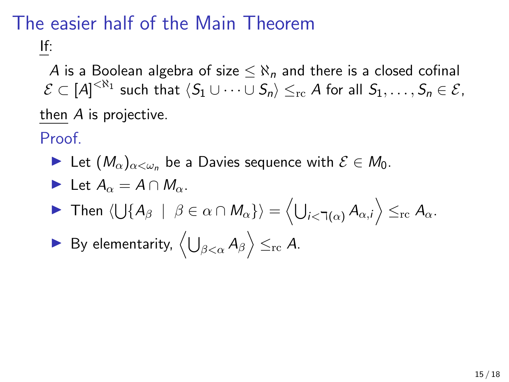# The easier half of the Main Theorem

If:

A is a Boolean algebra of size  $\leq \aleph_n$  and there is a closed cofinal  $\mathcal{E}\subset [A]^{<\aleph_1}$  such that  $\langle S_1\cup\cdots\cup S_n\rangle\leq_{\rm rc} A$  for all  $S_1,\ldots,S_n\in\mathcal{E},$ then A is projective.

Proof.

In Let  $(M_\alpha)_{\alpha<\omega_n}$  be a Davies sequence with  $\mathcal{E}\in M_0$ .

Let 
$$
A_{\alpha} = A \cap M_{\alpha}
$$
.

- **Figure 11** Then  $\langle \bigcup \{ A_\beta \; | \; \beta \in \alpha \cap M_\alpha \} \rangle = \Big\langle \bigcup_{i < \daleth(\alpha)} A_{\alpha,i} \Big\rangle \leq_{\text{rc}} A_\alpha.$
- ▶ By elementarity,  $\left\langle \bigcup_{\beta<\alpha}A_{\beta}\right\rangle \leq_{\mathrm{rc}}A.$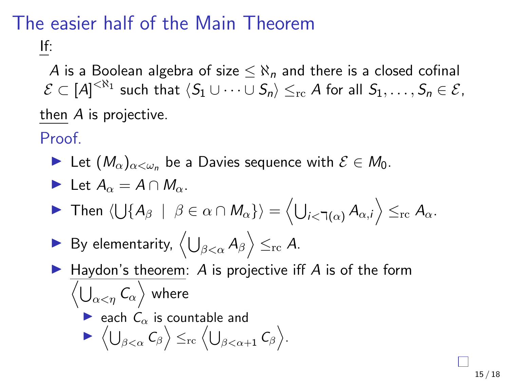# The easier half of the Main Theorem

If:

A is a Boolean algebra of size  $\leq \aleph_n$  and there is a closed cofinal  $\mathcal{E}\subset [A]^{<\aleph_1}$  such that  $\langle S_1\cup\cdots\cup S_n\rangle\leq_{\rm rc} A$  for all  $S_1,\ldots,S_n\in\mathcal{E},$ then A is projective.

Proof.

► Let  $(M_{\alpha})_{\alpha<\omega_n}$  be a Davies sequence with  $\mathcal{E}\in M_0$ .

Let 
$$
A_{\alpha} = A \cap M_{\alpha}
$$
.

- **Figure 11** Then  $\langle \bigcup \{ A_\beta \; | \; \beta \in \alpha \cap M_\alpha \} \rangle = \Big\langle \bigcup_{i < \daleth(\alpha)} A_{\alpha,i} \Big\rangle \leq_{\text{rc}} A_\alpha.$
- ▶ By elementarity,  $\left\langle \bigcup_{\beta<\alpha}A_{\beta}\right\rangle \leq_{\mathrm{rc}}A.$
- $\blacktriangleright$  Haydon's theorem: A is projective iff A is of the form  $\left\langle \bigcup_{\alpha<\eta}\mathcal{C}_\alpha\right\rangle$  where each  $C_{\alpha}$  is countable and  $\blacktriangleright \langle \bigcup_{\beta < \alpha} C_{\beta} \rangle \leq_{\rm rc} \langle \bigcup_{\beta < \alpha + 1} C_{\beta} \rangle.$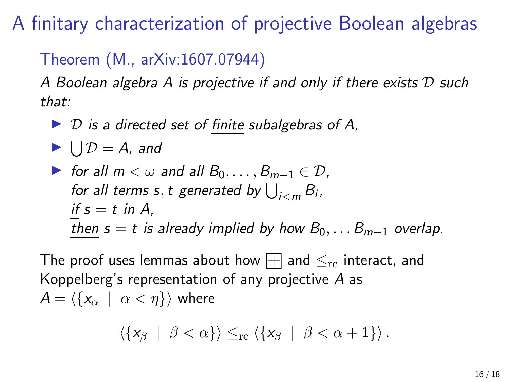A finitary characterization of projective Boolean algebras

#### Theorem (M., arXiv:1607.07944)

A Boolean algebra A is projective if and only if there exists D such that:

 $\triangleright$  D is a directed set of finite subalgebras of A,

 $\blacktriangleright \bigcup \mathcal{D} = A$ , and

\n- For all 
$$
m < \omega
$$
 and all  $B_0, \ldots, B_{m-1} \in \mathcal{D}$ , for all terms  $s$ ,  $t$  generated by  $\bigcup_{i < m} B_i$ , if  $s = t$  in  $A$ , then  $s = t$  is already implied by how  $B_0, \ldots B_{m-1}$  overlap.
\n

The proof uses lemmas about how  $\boxplus$  and  $\leq_{\text{rc}}$  interact, and Koppelberg's representation of any projective A as  $A = \langle \{x_{\alpha} \mid \alpha < \eta \} \rangle$  where

$$
\langle \{x_{\beta} \mid \beta < \alpha\} \rangle \leq_{\rm rc} \langle \{x_{\beta} \mid \beta < \alpha + 1\} \rangle.
$$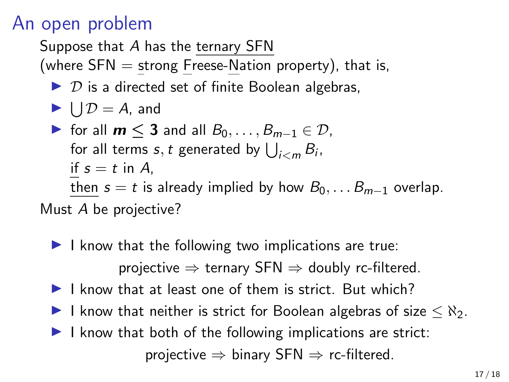## An open problem

Suppose that A has the ternary SFN

(where  $SFN =$  strong Freese-Nation property), that is,

 $\triangleright$  D is a directed set of finite Boolean algebras,

$$
\blacktriangleright \bigcup \mathcal{D} = A, \text{ and}
$$

 $\triangleright$  for all  $m < 3$  and all  $B_0, \ldots, B_{m-1} \in \mathcal{D}$ , for all terms  $s,t$  generated by  $\bigcup_{i < m} B_i$ , if  $s = t$  in A, then  $s = t$  is already implied by how  $B_0, \ldots B_{m-1}$  overlap.

Must A be projective?

- $\blacktriangleright$  I know that the following two implications are true: projective  $\Rightarrow$  ternary SFN  $\Rightarrow$  doubly rc-filtered.
- $\blacktriangleright$  I know that at least one of them is strict. But which?
- I know that neither is strict for Boolean algebras of size  $\lt N_2$ .
- $\blacktriangleright$  I know that both of the following implications are strict: projective  $\Rightarrow$  binary SFN  $\Rightarrow$  rc-filtered.